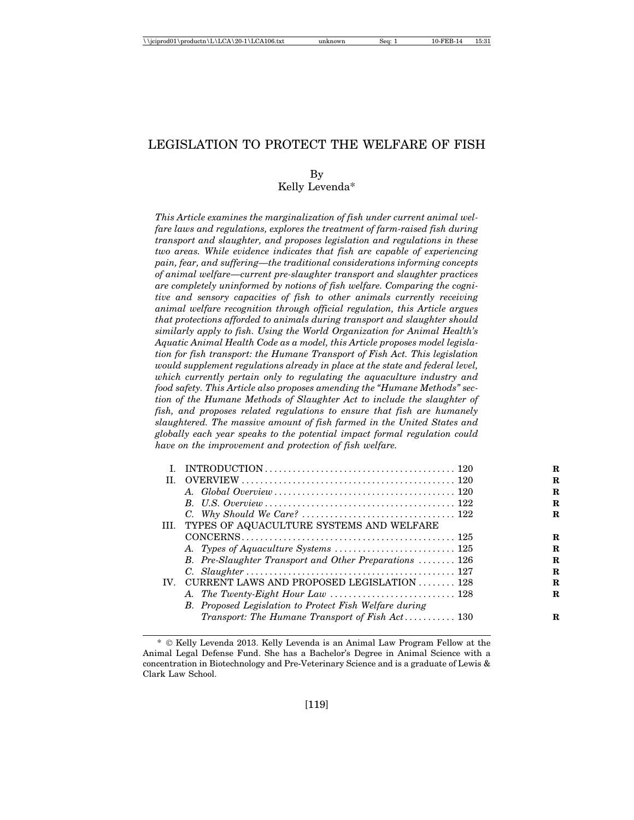# LEGISLATION TO PROTECT THE WELFARE OF FISH

By Kelly Levenda\*

*This Article examines the marginalization of fish under current animal welfare laws and regulations, explores the treatment of farm-raised fish during transport and slaughter, and proposes legislation and regulations in these two areas. While evidence indicates that fish are capable of experiencing pain, fear, and suffering—the traditional considerations informing concepts of animal welfare—current pre-slaughter transport and slaughter practices are completely uninformed by notions of fish welfare. Comparing the cognitive and sensory capacities of fish to other animals currently receiving animal welfare recognition through official regulation, this Article argues that protections afforded to animals during transport and slaughter should similarly apply to fish. Using the World Organization for Animal Health's Aquatic Animal Health Code as a model, this Article proposes model legislation for fish transport: the Humane Transport of Fish Act. This legislation would supplement regulations already in place at the state and federal level, which currently pertain only to regulating the aquaculture industry and food safety. This Article also proposes amending the "Humane Methods" section of the Humane Methods of Slaughter Act to include the slaughter of fish, and proposes related regulations to ensure that fish are humanely slaughtered. The massive amount of fish farmed in the United States and globally each year speaks to the potential impact formal regulation could have on the improvement and protection of fish welfare.*

| H.                |                                                               |
|-------------------|---------------------------------------------------------------|
|                   |                                                               |
|                   |                                                               |
|                   |                                                               |
|                   | III. TYPES OF AQUACULTURE SYSTEMS AND WELFARE                 |
|                   |                                                               |
|                   |                                                               |
|                   | B. Pre-Slaughter Transport and Other Preparations  126        |
|                   |                                                               |
| $\mathbf{IV}_{-}$ | CURRENT LAWS AND PROPOSED LEGISLATION  128                    |
|                   |                                                               |
|                   | <b>B.</b> Proposed Legislation to Protect Fish Welfare during |
|                   | Transport: The Humane Transport of Fish $Act$ 130             |
|                   |                                                               |

<sup>\*</sup> © Kelly Levenda 2013. Kelly Levenda is an Animal Law Program Fellow at the Animal Legal Defense Fund. She has a Bachelor's Degree in Animal Science with a concentration in Biotechnology and Pre-Veterinary Science and is a graduate of Lewis & Clark Law School.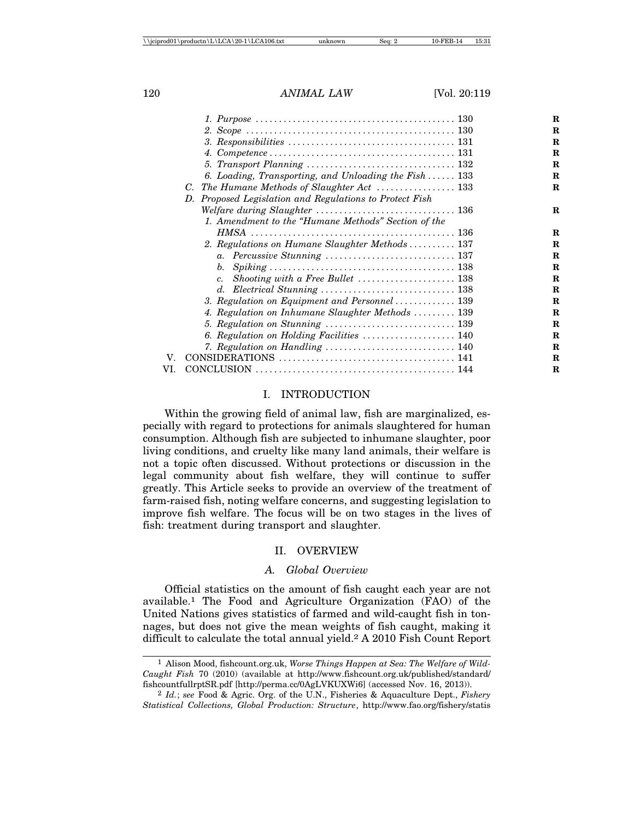|     | 6. Loading, Transporting, and Unloading the Fish  133                                                          |
|-----|----------------------------------------------------------------------------------------------------------------|
|     |                                                                                                                |
|     | D. Proposed Legislation and Regulations to Protect Fish                                                        |
|     |                                                                                                                |
|     | 1. Amendment to the "Humane Methods" Section of the                                                            |
|     |                                                                                                                |
|     | 2. Regulations on Humane Slaughter Methods  137                                                                |
|     |                                                                                                                |
|     | b.<br>$Spiking \ldots \ldots \ldots \ldots \ldots \ldots \ldots \ldots \ldots \ldots \ldots \ldots \ldots 138$ |
|     | $c_{\cdot}$                                                                                                    |
|     |                                                                                                                |
|     | 3. Regulation on Equipment and Personnel  139                                                                  |
|     | 4. Regulation on Inhumane Slaughter Methods  139                                                               |
|     | 5. Regulation on Stunning $\ldots \ldots \ldots \ldots \ldots \ldots \ldots \ldots \ldots 139$                 |
|     | 6. Regulation on Holding Facilities  140                                                                       |
|     | 7. Regulation on Handling  140                                                                                 |
| V.  |                                                                                                                |
| VI. |                                                                                                                |

### I. INTRODUCTION

Within the growing field of animal law, fish are marginalized, especially with regard to protections for animals slaughtered for human consumption. Although fish are subjected to inhumane slaughter, poor living conditions, and cruelty like many land animals, their welfare is not a topic often discussed. Without protections or discussion in the legal community about fish welfare, they will continue to suffer greatly. This Article seeks to provide an overview of the treatment of farm-raised fish, noting welfare concerns, and suggesting legislation to improve fish welfare. The focus will be on two stages in the lives of fish: treatment during transport and slaughter.

#### II. OVERVIEW

#### *A. Global Overview*

Official statistics on the amount of fish caught each year are not available.1 The Food and Agriculture Organization (FAO) of the United Nations gives statistics of farmed and wild-caught fish in tonnages, but does not give the mean weights of fish caught, making it difficult to calculate the total annual yield.2 A 2010 Fish Count Report

<sup>1</sup> Alison Mood, fishcount.org.uk, *Worse Things Happen at Sea: The Welfare of Wild-Caught Fish* 70 (2010) (available at http://www.fishcount.org.uk/published/standard/ fishcountfullrptSR.pdf [http://perma.cc/0AgLVKUXWi6] (accessed Nov. 16, 2013)).

<sup>2</sup> *Id.*; *see* Food & Agric. Org. of the U.N., Fisheries & Aquaculture Dept., *Fishery Statistical Collections, Global Production: Structure*, http://www.fao.org/fishery/statis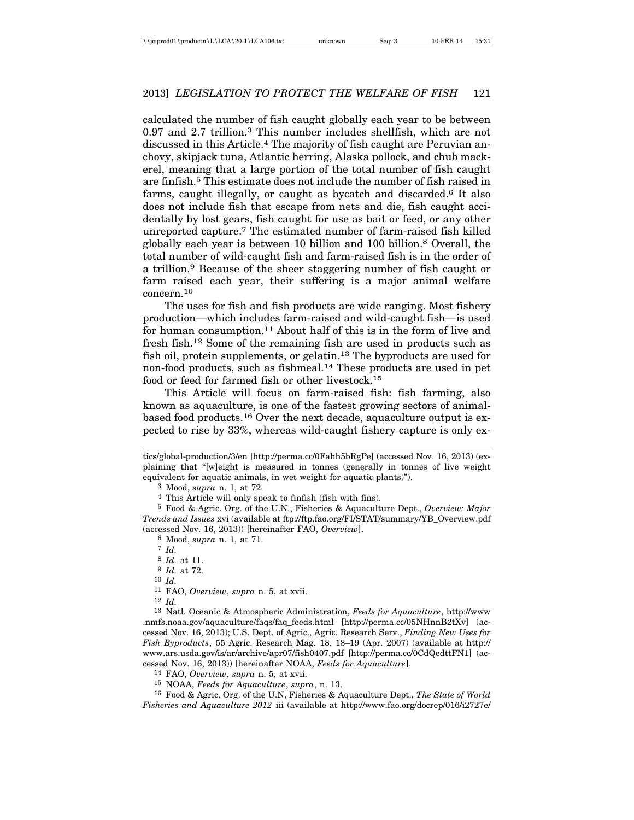calculated the number of fish caught globally each year to be between 0.97 and 2.7 trillion.3 This number includes shellfish, which are not discussed in this Article.4 The majority of fish caught are Peruvian anchovy, skipjack tuna, Atlantic herring, Alaska pollock, and chub mackerel, meaning that a large portion of the total number of fish caught are finfish.5 This estimate does not include the number of fish raised in farms, caught illegally, or caught as bycatch and discarded.6 It also does not include fish that escape from nets and die, fish caught accidentally by lost gears, fish caught for use as bait or feed, or any other unreported capture.7 The estimated number of farm-raised fish killed globally each year is between 10 billion and 100 billion.8 Overall, the total number of wild-caught fish and farm-raised fish is in the order of a trillion.9 Because of the sheer staggering number of fish caught or farm raised each year, their suffering is a major animal welfare concern.10

The uses for fish and fish products are wide ranging. Most fishery production—which includes farm-raised and wild-caught fish—is used for human consumption.11 About half of this is in the form of live and fresh fish.12 Some of the remaining fish are used in products such as fish oil, protein supplements, or gelatin.13 The byproducts are used for non-food products, such as fishmeal.14 These products are used in pet food or feed for farmed fish or other livestock.15

This Article will focus on farm-raised fish: fish farming, also known as aquaculture, is one of the fastest growing sectors of animalbased food products.16 Over the next decade, aquaculture output is expected to rise by 33%, whereas wild-caught fishery capture is only ex-

3 Mood, *supra* n. 1, at 72.

4 This Article will only speak to finfish (fish with fins).

5 Food & Agric. Org. of the U.N., Fisheries & Aquaculture Dept., *Overview: Major Trends and Issues* xvi (available at ftp://ftp.fao.org/FI/STAT/summary/YB\_Overview.pdf (accessed Nov. 16, 2013)) [hereinafter FAO, *Overview*].

6 Mood, *supra* n. 1, at 71.

8 *Id.* at 11.

9 *Id.* at 72.

10 *Id.*

11 FAO, *Overview*, *supra* n. 5, at xvii.

12 *Id.*

13 Natl. Oceanic & Atmospheric Administration, *Feeds for Aquaculture*, http://www .nmfs.noaa.gov/aquaculture/faqs/faq\_feeds.html [http://perma.cc/05NHnnB2tXv] (accessed Nov. 16, 2013); U.S. Dept. of Agric., Agric. Research Serv., *Finding New Uses for Fish Byproducts*, 55 Agric. Research Mag. 18, 18–19 (Apr. 2007) (available at http:// www.ars.usda.gov/is/ar/archive/apr07/fish0407.pdf [http://perma.cc/0CdQedttFN1] (accessed Nov. 16, 2013)) [hereinafter NOAA, *Feeds for Aquaculture*].

14 FAO, *Overview*, *supra* n. 5, at xvii.

15 NOAA, *Feeds for Aquaculture*, *supra*, n. 13.

16 Food & Agric. Org. of the U.N, Fisheries & Aquaculture Dept., *The State of World Fisheries and Aquaculture 2012* iii (available at http://www.fao.org/docrep/016/i2727e/

tics/global-production/3/en [http://perma.cc/0Fahh5bRgPe] (accessed Nov. 16, 2013) (explaining that "[w]eight is measured in tonnes (generally in tonnes of live weight equivalent for aquatic animals, in wet weight for aquatic plants)").

<sup>7</sup> *Id.*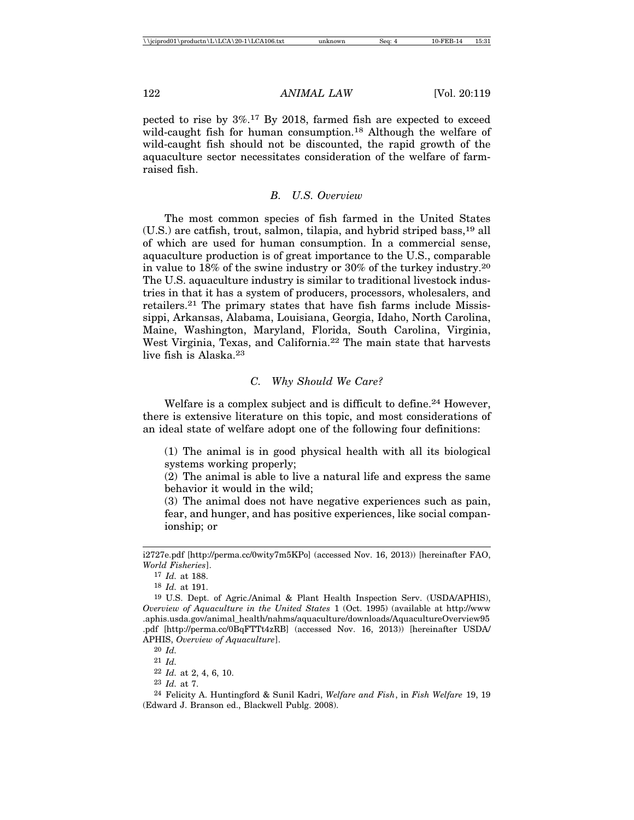pected to rise by 3%.17 By 2018, farmed fish are expected to exceed wild-caught fish for human consumption.<sup>18</sup> Although the welfare of wild-caught fish should not be discounted, the rapid growth of the aquaculture sector necessitates consideration of the welfare of farmraised fish.

# *B. U.S. Overview*

The most common species of fish farmed in the United States (U.S.) are catfish, trout, salmon, tilapia, and hybrid striped bass,19 all of which are used for human consumption. In a commercial sense, aquaculture production is of great importance to the U.S., comparable in value to 18% of the swine industry or 30% of the turkey industry.20 The U.S. aquaculture industry is similar to traditional livestock industries in that it has a system of producers, processors, wholesalers, and retailers.21 The primary states that have fish farms include Mississippi, Arkansas, Alabama, Louisiana, Georgia, Idaho, North Carolina, Maine, Washington, Maryland, Florida, South Carolina, Virginia, West Virginia, Texas, and California.22 The main state that harvests live fish is Alaska.23

# *C. Why Should We Care?*

Welfare is a complex subject and is difficult to define.<sup>24</sup> However, there is extensive literature on this topic, and most considerations of an ideal state of welfare adopt one of the following four definitions:

(1) The animal is in good physical health with all its biological systems working properly;

(2) The animal is able to live a natural life and express the same behavior it would in the wild;

(3) The animal does not have negative experiences such as pain, fear, and hunger, and has positive experiences, like social companionship; or

i2727e.pdf [http://perma.cc/0wity7m5KPo] (accessed Nov. 16, 2013)) [hereinafter FAO, *World Fisheries*].

<sup>17</sup> *Id.* at 188.

<sup>18</sup> *Id.* at 191.

<sup>19</sup> U.S. Dept. of Agric./Animal & Plant Health Inspection Serv. (USDA/APHIS), *Overview of Aquaculture in the United States* 1 (Oct. 1995) (available at http://www .aphis.usda.gov/animal\_health/nahms/aquaculture/downloads/AquacultureOverview95 .pdf [http://perma.cc/0BqFTTt4zRB] (accessed Nov. 16, 2013)) [hereinafter USDA/ APHIS, *Overview of Aquaculture*].

<sup>20</sup> *Id.*

<sup>21</sup> *Id.*

<sup>22</sup> *Id.* at 2, 4, 6, 10.

<sup>23</sup> *Id.* at 7.

<sup>24</sup> Felicity A. Huntingford & Sunil Kadri, *Welfare and Fish*, in *Fish Welfare* 19, 19 (Edward J. Branson ed., Blackwell Publg. 2008).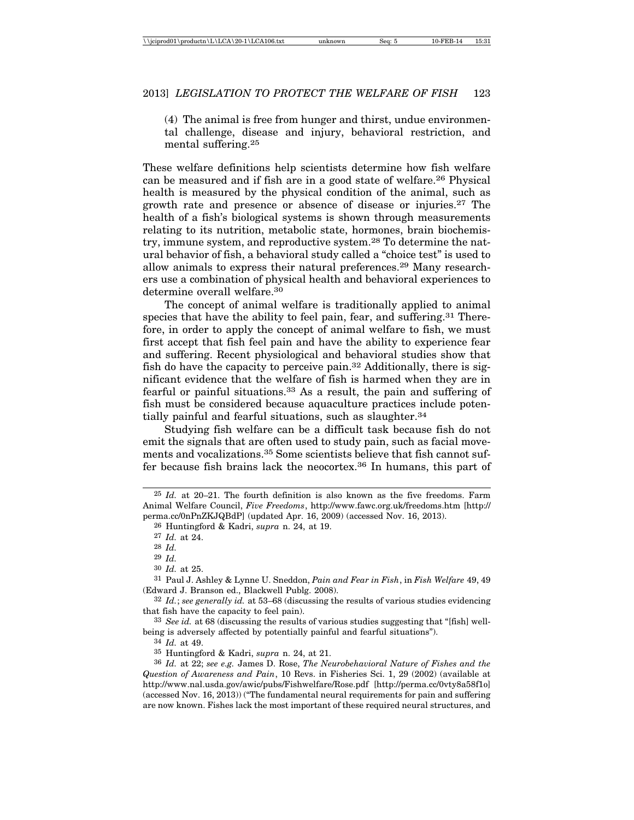(4) The animal is free from hunger and thirst, undue environmental challenge, disease and injury, behavioral restriction, and mental suffering.25

These welfare definitions help scientists determine how fish welfare can be measured and if fish are in a good state of welfare.26 Physical health is measured by the physical condition of the animal, such as growth rate and presence or absence of disease or injuries.27 The health of a fish's biological systems is shown through measurements relating to its nutrition, metabolic state, hormones, brain biochemistry, immune system, and reproductive system.28 To determine the natural behavior of fish, a behavioral study called a "choice test" is used to allow animals to express their natural preferences.29 Many researchers use a combination of physical health and behavioral experiences to determine overall welfare.30

The concept of animal welfare is traditionally applied to animal species that have the ability to feel pain, fear, and suffering.<sup>31</sup> Therefore, in order to apply the concept of animal welfare to fish, we must first accept that fish feel pain and have the ability to experience fear and suffering. Recent physiological and behavioral studies show that fish do have the capacity to perceive pain.32 Additionally, there is significant evidence that the welfare of fish is harmed when they are in fearful or painful situations.33 As a result, the pain and suffering of fish must be considered because aquaculture practices include potentially painful and fearful situations, such as slaughter.<sup>34</sup>

Studying fish welfare can be a difficult task because fish do not emit the signals that are often used to study pain, such as facial movements and vocalizations.35 Some scientists believe that fish cannot suffer because fish brains lack the neocortex.36 In humans, this part of

26 Huntingford & Kadri, *supra* n. 24, at 19.

30 *Id.* at 25.

34 *Id.* at 49.

<sup>25</sup> *Id.* at 20–21. The fourth definition is also known as the five freedoms. Farm Animal Welfare Council, *Five Freedoms*, http://www.fawc.org.uk/freedoms.htm [http:// perma.cc/0nPnZKJQBdP] (updated Apr. 16, 2009) (accessed Nov. 16, 2013).

<sup>27</sup> *Id.* at 24.

<sup>28</sup> *Id.*

<sup>29</sup> *Id.*

<sup>31</sup> Paul J. Ashley & Lynne U. Sneddon, *Pain and Fear in Fish*, in *Fish Welfare* 49, 49 (Edward J. Branson ed., Blackwell Publg. 2008).

<sup>32</sup> *Id.*; *see generally id.* at 53–68 (discussing the results of various studies evidencing that fish have the capacity to feel pain).

<sup>33</sup> *See id.* at 68 (discussing the results of various studies suggesting that "[fish] wellbeing is adversely affected by potentially painful and fearful situations").

<sup>35</sup> Huntingford & Kadri, *supra* n. 24, at 21.

<sup>36</sup> *Id.* at 22; *see e.g.* James D. Rose, *The Neurobehavioral Nature of Fishes and the Question of Awareness and Pain*, 10 Revs. in Fisheries Sci. 1, 29 (2002) (available at http://www.nal.usda.gov/awic/pubs/Fishwelfare/Rose.pdf [http://perma.cc/0vty8a58f1o] (accessed Nov. 16, 2013)) ("The fundamental neural requirements for pain and suffering are now known. Fishes lack the most important of these required neural structures, and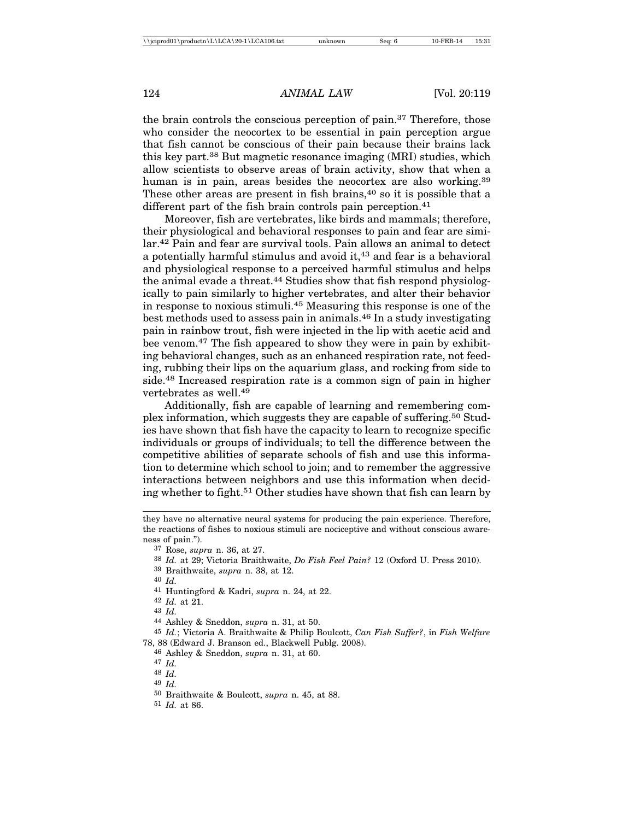the brain controls the conscious perception of pain.37 Therefore, those who consider the neocortex to be essential in pain perception argue that fish cannot be conscious of their pain because their brains lack this key part.38 But magnetic resonance imaging (MRI) studies, which allow scientists to observe areas of brain activity, show that when a human is in pain, areas besides the neocortex are also working.<sup>39</sup> These other areas are present in fish brains,  $40$  so it is possible that a different part of the fish brain controls pain perception.<sup>41</sup>

Moreover, fish are vertebrates, like birds and mammals; therefore, their physiological and behavioral responses to pain and fear are similar.42 Pain and fear are survival tools. Pain allows an animal to detect a potentially harmful stimulus and avoid it,<sup>43</sup> and fear is a behavioral and physiological response to a perceived harmful stimulus and helps the animal evade a threat.<sup>44</sup> Studies show that fish respond physiologically to pain similarly to higher vertebrates, and alter their behavior in response to noxious stimuli.45 Measuring this response is one of the best methods used to assess pain in animals.46 In a study investigating pain in rainbow trout, fish were injected in the lip with acetic acid and bee venom.47 The fish appeared to show they were in pain by exhibiting behavioral changes, such as an enhanced respiration rate, not feeding, rubbing their lips on the aquarium glass, and rocking from side to side.48 Increased respiration rate is a common sign of pain in higher vertebrates as well.49

Additionally, fish are capable of learning and remembering complex information, which suggests they are capable of suffering.50 Studies have shown that fish have the capacity to learn to recognize specific individuals or groups of individuals; to tell the difference between the competitive abilities of separate schools of fish and use this information to determine which school to join; and to remember the aggressive interactions between neighbors and use this information when deciding whether to fight.<sup>51</sup> Other studies have shown that fish can learn by

39 Braithwaite, *supra* n. 38, at 12.

- 41 Huntingford & Kadri, *supra* n. 24, at 22.
- 42 *Id.* at 21.
- 43 *Id.*
- 44 Ashley & Sneddon, *supra* n. 31, at 50.

45 *Id.*; Victoria A. Braithwaite & Philip Boulcott, *Can Fish Suffer?*, in *Fish Welfare* 78, 88 (Edward J. Branson ed., Blackwell Publg. 2008).

46 Ashley & Sneddon, *supra* n. 31, at 60.

- 48 *Id.*
- 49 *Id.*
- 50 Braithwaite & Boulcott, *supra* n. 45, at 88.
- 51 *Id.* at 86.

they have no alternative neural systems for producing the pain experience. Therefore, the reactions of fishes to noxious stimuli are nociceptive and without conscious awareness of pain.").

<sup>37</sup> Rose, *supra* n. 36, at 27.

<sup>38</sup> *Id.* at 29; Victoria Braithwaite, *Do Fish Feel Pain?* 12 (Oxford U. Press 2010).

<sup>40</sup> *Id.*

<sup>47</sup> *Id.*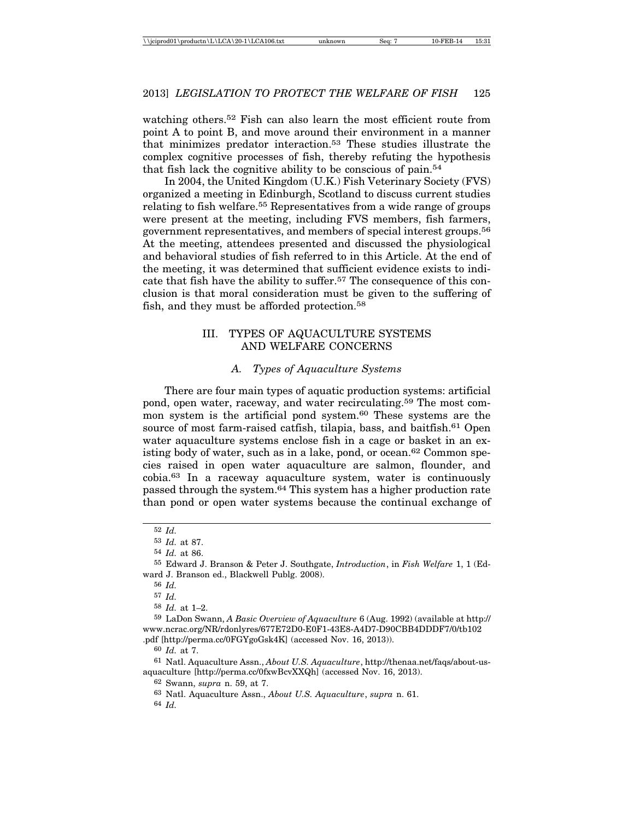watching others.<sup>52</sup> Fish can also learn the most efficient route from point A to point B, and move around their environment in a manner that minimizes predator interaction.53 These studies illustrate the complex cognitive processes of fish, thereby refuting the hypothesis that fish lack the cognitive ability to be conscious of pain.54

In 2004, the United Kingdom (U.K.) Fish Veterinary Society (FVS) organized a meeting in Edinburgh, Scotland to discuss current studies relating to fish welfare.<sup>55</sup> Representatives from a wide range of groups were present at the meeting, including FVS members, fish farmers, government representatives, and members of special interest groups.56 At the meeting, attendees presented and discussed the physiological and behavioral studies of fish referred to in this Article. At the end of the meeting, it was determined that sufficient evidence exists to indicate that fish have the ability to suffer.57 The consequence of this conclusion is that moral consideration must be given to the suffering of fish, and they must be afforded protection.58

# III. TYPES OF AQUACULTURE SYSTEMS AND WELFARE CONCERNS

# *A. Types of Aquaculture Systems*

There are four main types of aquatic production systems: artificial pond, open water, raceway, and water recirculating.59 The most common system is the artificial pond system.<sup>60</sup> These systems are the source of most farm-raised catfish, tilapia, bass, and baitfish.<sup>61</sup> Open water aquaculture systems enclose fish in a cage or basket in an existing body of water, such as in a lake, pond, or ocean.<sup>62</sup> Common species raised in open water aquaculture are salmon, flounder, and cobia.63 In a raceway aquaculture system, water is continuously passed through the system.64 This system has a higher production rate than pond or open water systems because the continual exchange of

59 LaDon Swann, *A Basic Overview of Aquaculture* 6 (Aug. 1992) (available at http:// www.ncrac.org/NR/rdonlyres/677E72D0-E0F1-43E8-A4D7-D90CBB4DDDF7/0/tb102 .pdf [http://perma.cc/0FGYgoGsk4K] (accessed Nov. 16, 2013)).

60 *Id.* at 7.

61 Natl. Aquaculture Assn., *About U.S. Aquaculture*, http://thenaa.net/faqs/about-usaquaculture [http://perma.cc/0fxwBcvXXQh] (accessed Nov. 16, 2013).

62 Swann, *supra* n. 59, at 7.

64 *Id.*

<sup>52</sup> *Id.*

<sup>53</sup> *Id.* at 87.

<sup>54</sup> *Id.* at 86.

<sup>55</sup> Edward J. Branson & Peter J. Southgate, *Introduction*, in *Fish Welfare* 1, 1 (Edward J. Branson ed., Blackwell Publg. 2008).

<sup>56</sup> *Id.*

<sup>57</sup> *Id.*

<sup>58</sup> *Id.* at 1–2.

<sup>63</sup> Natl. Aquaculture Assn., *About U.S. Aquaculture*, *supra* n. 61.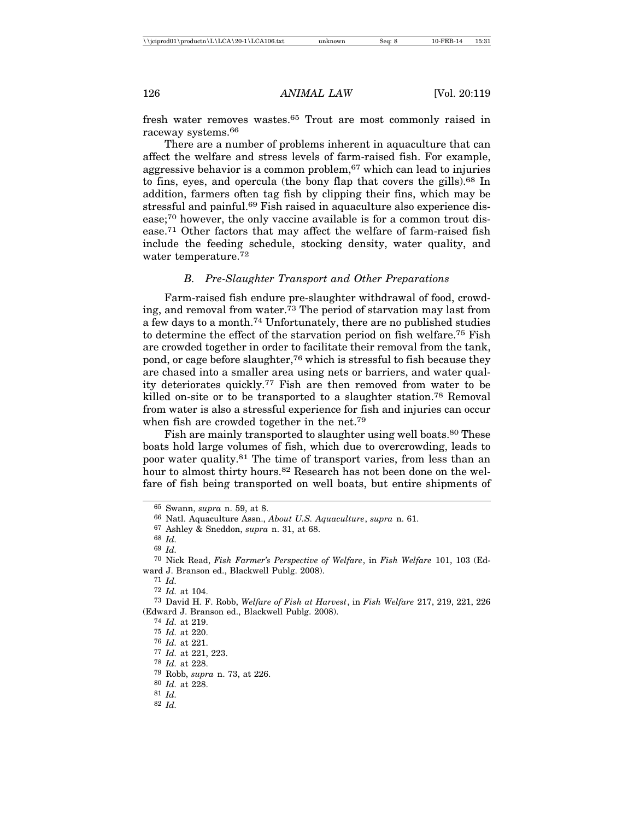fresh water removes wastes.65 Trout are most commonly raised in raceway systems.66

There are a number of problems inherent in aquaculture that can affect the welfare and stress levels of farm-raised fish. For example, aggressive behavior is a common problem,<sup>67</sup> which can lead to injuries to fins, eyes, and opercula (the bony flap that covers the gills).68 In addition, farmers often tag fish by clipping their fins, which may be stressful and painful.<sup>69</sup> Fish raised in aquaculture also experience disease;70 however, the only vaccine available is for a common trout disease.71 Other factors that may affect the welfare of farm-raised fish include the feeding schedule, stocking density, water quality, and water temperature.72

# *B. Pre-Slaughter Transport and Other Preparations*

Farm-raised fish endure pre-slaughter withdrawal of food, crowding, and removal from water.<sup>73</sup> The period of starvation may last from a few days to a month.74 Unfortunately, there are no published studies to determine the effect of the starvation period on fish welfare.75 Fish are crowded together in order to facilitate their removal from the tank, pond, or cage before slaughter,76 which is stressful to fish because they are chased into a smaller area using nets or barriers, and water quality deteriorates quickly.77 Fish are then removed from water to be killed on-site or to be transported to a slaughter station.<sup>78</sup> Removal from water is also a stressful experience for fish and injuries can occur when fish are crowded together in the net.<sup>79</sup>

Fish are mainly transported to slaughter using well boats.<sup>80</sup> These boats hold large volumes of fish, which due to overcrowding, leads to poor water quality.81 The time of transport varies, from less than an hour to almost thirty hours.<sup>82</sup> Research has not been done on the welfare of fish being transported on well boats, but entire shipments of

- 81 *Id.*
- 82 *Id.*

<sup>65</sup> Swann, *supra* n. 59, at 8.

<sup>66</sup> Natl. Aquaculture Assn., *About U.S. Aquaculture*, *supra* n. 61.

<sup>67</sup> Ashley & Sneddon, *supra* n. 31, at 68.

<sup>68</sup> *Id.*

<sup>69</sup> *Id.*

<sup>70</sup> Nick Read, *Fish Farmer's Perspective of Welfare*, in *Fish Welfare* 101, 103 (Edward J. Branson ed., Blackwell Publg. 2008).

<sup>71</sup> *Id.*

<sup>72</sup> *Id.* at 104.

<sup>73</sup> David H. F. Robb, *Welfare of Fish at Harvest*, in *Fish Welfare* 217, 219, 221, 226 (Edward J. Branson ed., Blackwell Publg. 2008).

<sup>74</sup> *Id.* at 219.

<sup>75</sup> *Id.* at 220.

<sup>76</sup> *Id.* at 221.

<sup>77</sup> *Id.* at 221, 223.

<sup>78</sup> *Id.* at 228.

<sup>79</sup> Robb, *supra* n. 73, at 226.

<sup>80</sup> *Id.* at 228.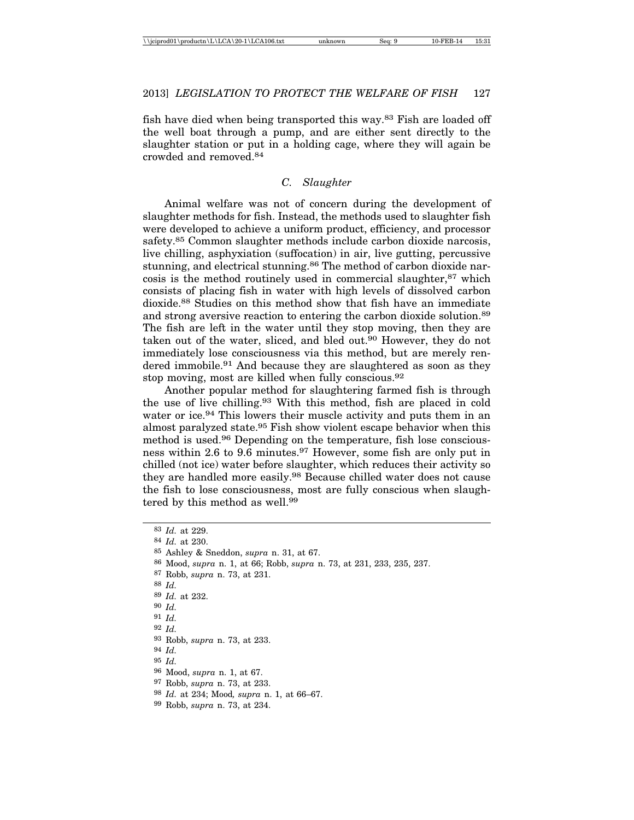fish have died when being transported this way.83 Fish are loaded off the well boat through a pump, and are either sent directly to the slaughter station or put in a holding cage, where they will again be crowded and removed.84

#### *C. Slaughter*

Animal welfare was not of concern during the development of slaughter methods for fish. Instead, the methods used to slaughter fish were developed to achieve a uniform product, efficiency, and processor safety.85 Common slaughter methods include carbon dioxide narcosis, live chilling, asphyxiation (suffocation) in air, live gutting, percussive stunning, and electrical stunning.<sup>86</sup> The method of carbon dioxide narcosis is the method routinely used in commercial slaughter,87 which consists of placing fish in water with high levels of dissolved carbon dioxide.88 Studies on this method show that fish have an immediate and strong aversive reaction to entering the carbon dioxide solution.89 The fish are left in the water until they stop moving, then they are taken out of the water, sliced, and bled out.90 However, they do not immediately lose consciousness via this method, but are merely rendered immobile.<sup>91</sup> And because they are slaughtered as soon as they stop moving, most are killed when fully conscious.92

Another popular method for slaughtering farmed fish is through the use of live chilling.93 With this method, fish are placed in cold water or ice.<sup>94</sup> This lowers their muscle activity and puts them in an almost paralyzed state.95 Fish show violent escape behavior when this method is used.96 Depending on the temperature, fish lose consciousness within 2.6 to 9.6 minutes.97 However, some fish are only put in chilled (not ice) water before slaughter, which reduces their activity so they are handled more easily.98 Because chilled water does not cause the fish to lose consciousness, most are fully conscious when slaughtered by this method as well.99

 *Id.* at 229. *Id.* at 230. Ashley & Sneddon, *supra* n. 31, at 67. Mood, *supra* n. 1, at 66; Robb, *supra* n. 73, at 231, 233, 235, 237. Robb, *supra* n. 73, at 231. 88 *Id. Id.* at 232. 90 *Id.* 91 *Id.* 92 *Id.* Robb, *supra* n. 73, at 233. 94 *Id.* 95 *Id.* Mood, *supra* n. 1, at 67. Robb, *supra* n. 73, at 233. *Id.* at 234; Mood*, supra* n. 1, at 66–67. Robb, *supra* n. 73, at 234.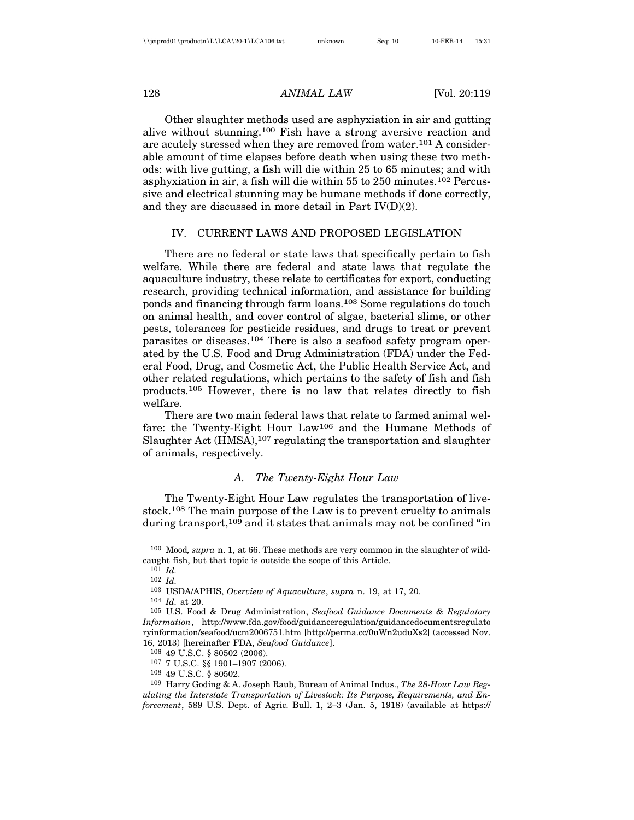Other slaughter methods used are asphyxiation in air and gutting alive without stunning.100 Fish have a strong aversive reaction and are acutely stressed when they are removed from water.101 A considerable amount of time elapses before death when using these two methods: with live gutting, a fish will die within 25 to 65 minutes; and with asphyxiation in air, a fish will die within 55 to 250 minutes.102 Percussive and electrical stunning may be humane methods if done correctly, and they are discussed in more detail in Part IV(D)(2).

### IV. CURRENT LAWS AND PROPOSED LEGISLATION

There are no federal or state laws that specifically pertain to fish welfare. While there are federal and state laws that regulate the aquaculture industry, these relate to certificates for export, conducting research, providing technical information, and assistance for building ponds and financing through farm loans.103 Some regulations do touch on animal health, and cover control of algae, bacterial slime, or other pests, tolerances for pesticide residues, and drugs to treat or prevent parasites or diseases.104 There is also a seafood safety program operated by the U.S. Food and Drug Administration (FDA) under the Federal Food, Drug, and Cosmetic Act, the Public Health Service Act, and other related regulations, which pertains to the safety of fish and fish products.105 However, there is no law that relates directly to fish welfare.

There are two main federal laws that relate to farmed animal welfare: the Twenty-Eight Hour Law106 and the Humane Methods of Slaughter Act  $(HMSA)$ , <sup>107</sup> regulating the transportation and slaughter of animals, respectively.

#### *A. The Twenty-Eight Hour Law*

The Twenty-Eight Hour Law regulates the transportation of livestock.108 The main purpose of the Law is to prevent cruelty to animals during transport,<sup>109</sup> and it states that animals may not be confined "in

<sup>100</sup> Mood*, supra* n. 1, at 66. These methods are very common in the slaughter of wildcaught fish, but that topic is outside the scope of this Article.

<sup>101</sup> *Id.*

<sup>102</sup> *Id.*

<sup>103</sup> USDA/APHIS, *Overview of Aquaculture*, *supra* n. 19, at 17, 20.

<sup>104</sup> *Id.* at 20.

<sup>105</sup> U.S. Food & Drug Administration, *Seafood Guidance Documents & Regulatory Information*, http://www.fda.gov/food/guidanceregulation/guidancedocumentsregulato ryinformation/seafood/ucm2006751.htm [http://perma.cc/0uWn2uduXs2] (accessed Nov. 16, 2013) [hereinafter FDA, *Seafood Guidance*].

<sup>106</sup> 49 U.S.C. § 80502 (2006).

<sup>107</sup> 7 U.S.C. §§ 1901–1907 (2006).

<sup>108</sup> 49 U.S.C. § 80502.

<sup>109</sup> Harry Goding & A. Joseph Raub, Bureau of Animal Indus., *The 28-Hour Law Regulating the Interstate Transportation of Livestock: Its Purpose, Requirements, and Enforcement*, 589 U.S. Dept. of Agric. Bull. 1, 2–3 (Jan. 5, 1918) (available at https://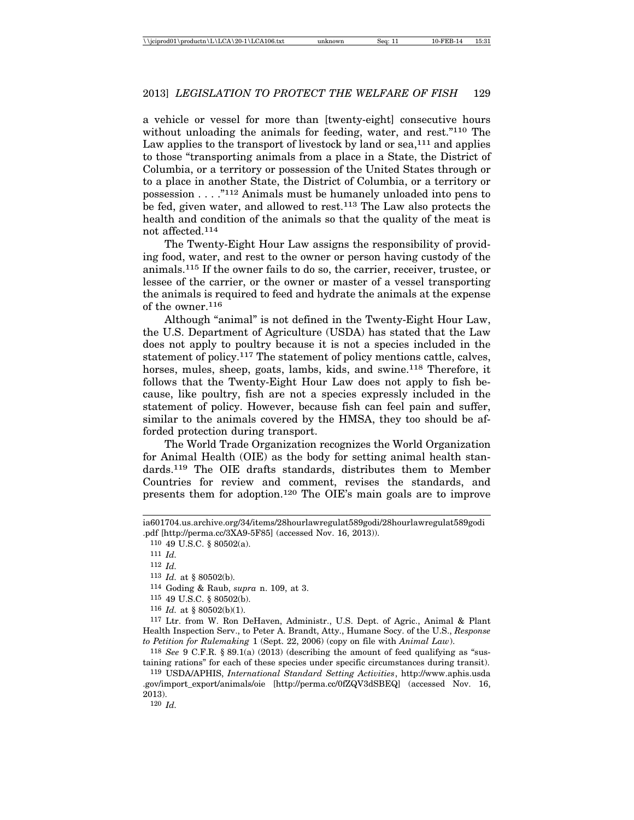a vehicle or vessel for more than [twenty-eight] consecutive hours without unloading the animals for feeding, water, and rest."<sup>110</sup> The Law applies to the transport of livestock by land or  $sea,^{111}$  and applies to those "transporting animals from a place in a State, the District of Columbia, or a territory or possession of the United States through or to a place in another State, the District of Columbia, or a territory or possession . . . ."112 Animals must be humanely unloaded into pens to be fed, given water, and allowed to rest.113 The Law also protects the health and condition of the animals so that the quality of the meat is not affected.114

The Twenty-Eight Hour Law assigns the responsibility of providing food, water, and rest to the owner or person having custody of the animals.115 If the owner fails to do so, the carrier, receiver, trustee, or lessee of the carrier, or the owner or master of a vessel transporting the animals is required to feed and hydrate the animals at the expense of the owner.116

Although "animal" is not defined in the Twenty-Eight Hour Law, the U.S. Department of Agriculture (USDA) has stated that the Law does not apply to poultry because it is not a species included in the statement of policy.117 The statement of policy mentions cattle, calves, horses, mules, sheep, goats, lambs, kids, and swine.<sup>118</sup> Therefore, it follows that the Twenty-Eight Hour Law does not apply to fish because, like poultry, fish are not a species expressly included in the statement of policy. However, because fish can feel pain and suffer, similar to the animals covered by the HMSA, they too should be afforded protection during transport.

The World Trade Organization recognizes the World Organization for Animal Health (OIE) as the body for setting animal health standards.119 The OIE drafts standards, distributes them to Member Countries for review and comment, revises the standards, and presents them for adoption.120 The OIE's main goals are to improve

117 Ltr. from W. Ron DeHaven, Administr., U.S. Dept. of Agric., Animal & Plant Health Inspection Serv., to Peter A. Brandt, Atty., Humane Socy. of the U.S., *Response to Petition for Rulemaking* 1 (Sept. 22, 2006) (copy on file with *Animal Law*).

118 *See* 9 C.F.R. § 89.1(a) (2013) (describing the amount of feed qualifying as "sustaining rations" for each of these species under specific circumstances during transit).

119 USDA/APHIS, *International Standard Setting Activities*, http://www.aphis.usda .gov/import\_export/animals/oie [http://perma.cc/0fZQV3dSBEQ] (accessed Nov. 16, 2013).

120 *Id.*

ia601704.us.archive.org/34/items/28hourlawregulat589godi/28hourlawregulat589godi .pdf [http://perma.cc/3XA9-5F85] (accessed Nov. 16, 2013)).

<sup>110</sup> 49 U.S.C. § 80502(a).

<sup>111</sup> *Id.*

<sup>112</sup> *Id.*

<sup>113</sup> *Id.* at § 80502(b).

<sup>114</sup> Goding & Raub, *supra* n. 109, at 3.

<sup>115</sup> 49 U.S.C. § 80502(b).

 $116$  *Id.* at § 80502(b)(1).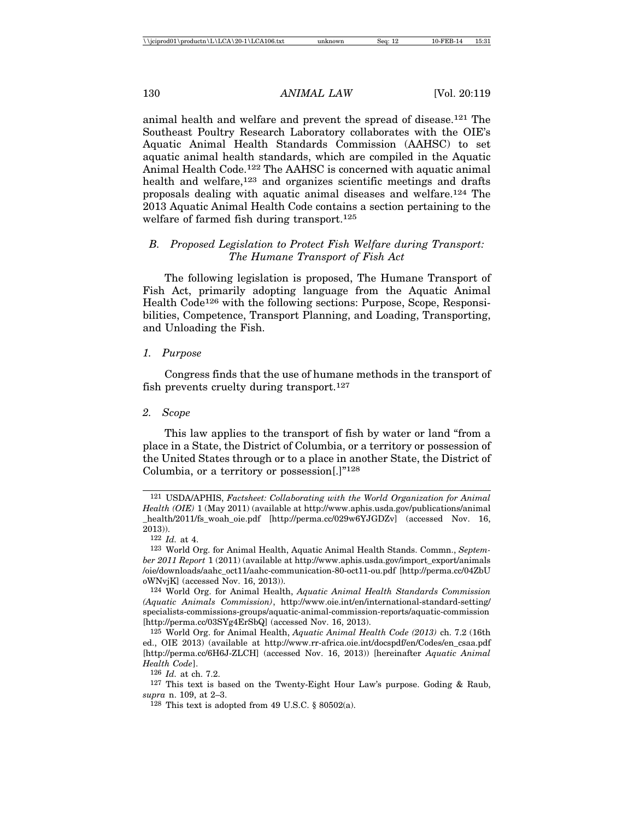animal health and welfare and prevent the spread of disease.121 The Southeast Poultry Research Laboratory collaborates with the OIE's Aquatic Animal Health Standards Commission (AAHSC) to set aquatic animal health standards, which are compiled in the Aquatic Animal Health Code.122 The AAHSC is concerned with aquatic animal health and welfare,<sup>123</sup> and organizes scientific meetings and drafts proposals dealing with aquatic animal diseases and welfare.124 The 2013 Aquatic Animal Health Code contains a section pertaining to the welfare of farmed fish during transport.<sup>125</sup>

# *B. Proposed Legislation to Protect Fish Welfare during Transport: The Humane Transport of Fish Act*

The following legislation is proposed, The Humane Transport of Fish Act, primarily adopting language from the Aquatic Animal Health Code<sup>126</sup> with the following sections: Purpose, Scope, Responsibilities, Competence, Transport Planning, and Loading, Transporting, and Unloading the Fish.

#### *1. Purpose*

Congress finds that the use of humane methods in the transport of fish prevents cruelty during transport.127

### *2. Scope*

This law applies to the transport of fish by water or land "from a place in a State, the District of Columbia, or a territory or possession of the United States through or to a place in another State, the District of Columbia, or a territory or possession[.]"128

122 *Id.* at 4.

124 World Org. for Animal Health, *Aquatic Animal Health Standards Commission (Aquatic Animals Commission)*, http://www.oie.int/en/international-standard-setting/ specialists-commissions-groups/aquatic-animal-commission-reports/aquatic-commission [http://perma.cc/03SYg4ErSbQ] (accessed Nov. 16, 2013).

125 World Org. for Animal Health, *Aquatic Animal Health Code (2013)* ch. 7.2 (16th ed., OIE 2013) (available at http://www.rr-africa.oie.int/docspdf/en/Codes/en\_csaa.pdf [http://perma.cc/6H6J-ZLCH] (accessed Nov. 16, 2013)) [hereinafter *Aquatic Animal Health Code*].

126 *Id.* at ch. 7.2.

<sup>121</sup> USDA/APHIS, *Factsheet: Collaborating with the World Organization for Animal Health (OIE)* 1 (May 2011) (available at http://www.aphis.usda.gov/publications/animal \_health/2011/fs\_woah\_oie.pdf [http://perma.cc/029w6YJGDZv] (accessed Nov. 16, 2013)).

<sup>123</sup> World Org. for Animal Health, Aquatic Animal Health Stands. Commn., *September 2011 Report* 1 (2011) (available at http://www.aphis.usda.gov/import\_export/animals /oie/downloads/aahc\_oct11/aahc-communication-80-oct11-ou.pdf [http://perma.cc/04ZbU oWNvjK] (accessed Nov. 16, 2013)).

<sup>127</sup> This text is based on the Twenty-Eight Hour Law's purpose. Goding & Raub, *supra* n. 109, at 2–3.

 $128$  This text is adopted from 49 U.S.C. § 80502(a).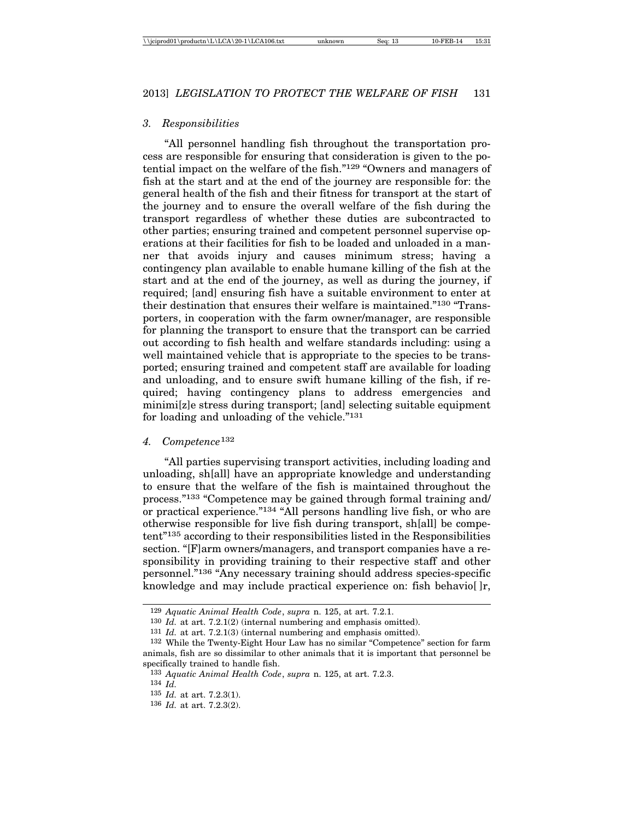#### *3. Responsibilities*

"All personnel handling fish throughout the transportation process are responsible for ensuring that consideration is given to the potential impact on the welfare of the fish."129 "Owners and managers of fish at the start and at the end of the journey are responsible for: the general health of the fish and their fitness for transport at the start of the journey and to ensure the overall welfare of the fish during the transport regardless of whether these duties are subcontracted to other parties; ensuring trained and competent personnel supervise operations at their facilities for fish to be loaded and unloaded in a manner that avoids injury and causes minimum stress; having a contingency plan available to enable humane killing of the fish at the start and at the end of the journey, as well as during the journey, if required; [and] ensuring fish have a suitable environment to enter at their destination that ensures their welfare is maintained."130 "Transporters, in cooperation with the farm owner/manager, are responsible for planning the transport to ensure that the transport can be carried out according to fish health and welfare standards including: using a well maintained vehicle that is appropriate to the species to be transported; ensuring trained and competent staff are available for loading and unloading, and to ensure swift humane killing of the fish, if required; having contingency plans to address emergencies and minimi[z]e stress during transport; [and] selecting suitable equipment for loading and unloading of the vehicle."131

#### *4. Competence*<sup>132</sup>

"All parties supervising transport activities, including loading and unloading, sh[all] have an appropriate knowledge and understanding to ensure that the welfare of the fish is maintained throughout the process."133 "Competence may be gained through formal training and/ or practical experience."134 "All persons handling live fish, or who are otherwise responsible for live fish during transport, sh[all] be competent"135 according to their responsibilities listed in the Responsibilities section. "[F]arm owners/managers, and transport companies have a responsibility in providing training to their respective staff and other personnel."136 "Any necessary training should address species-specific knowledge and may include practical experience on: fish behavio[]r,

130 *Id.* at art. 7.2.1(2) (internal numbering and emphasis omitted).

<sup>129</sup> *Aquatic Animal Health Code*, *supra* n. 125, at art. 7.2.1.

<sup>131</sup> *Id.* at art. 7.2.1(3) (internal numbering and emphasis omitted).

<sup>132</sup> While the Twenty-Eight Hour Law has no similar "Competence" section for farm animals, fish are so dissimilar to other animals that it is important that personnel be specifically trained to handle fish.

<sup>133</sup> *Aquatic Animal Health Code*, *supra* n. 125, at art. 7.2.3.

<sup>134</sup> *Id.*

<sup>135</sup> *Id.* at art. 7.2.3(1).

<sup>136</sup> *Id.* at art. 7.2.3(2).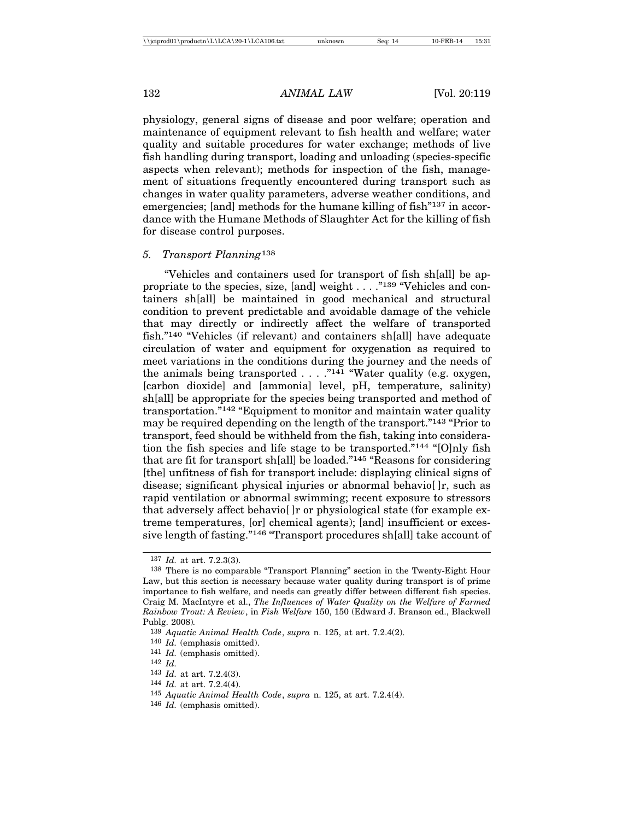physiology, general signs of disease and poor welfare; operation and maintenance of equipment relevant to fish health and welfare; water quality and suitable procedures for water exchange; methods of live fish handling during transport, loading and unloading (species-specific aspects when relevant); methods for inspection of the fish, management of situations frequently encountered during transport such as changes in water quality parameters, adverse weather conditions, and emergencies; [and] methods for the humane killing of fish<sup>"137</sup> in accordance with the Humane Methods of Slaughter Act for the killing of fish for disease control purposes.

#### *5. Transport Planning*<sup>138</sup>

"Vehicles and containers used for transport of fish sh[all] be appropriate to the species, size, [and] weight . . . . "<sup>139</sup> "Vehicles and containers sh[all] be maintained in good mechanical and structural condition to prevent predictable and avoidable damage of the vehicle that may directly or indirectly affect the welfare of transported fish."140 "Vehicles (if relevant) and containers sh[all] have adequate circulation of water and equipment for oxygenation as required to meet variations in the conditions during the journey and the needs of the animals being transported  $\ldots$ ."<sup>141</sup> "Water quality (e.g. oxygen, [carbon dioxide] and [ammonia] level, pH, temperature, salinity) sh[all] be appropriate for the species being transported and method of transportation."142 "Equipment to monitor and maintain water quality may be required depending on the length of the transport."143 "Prior to transport, feed should be withheld from the fish, taking into consideration the fish species and life stage to be transported."144 "[O]nly fish that are fit for transport sh[all] be loaded."145 "Reasons for considering [the] unfitness of fish for transport include: displaying clinical signs of disease; significant physical injuries or abnormal behavio[ ]r, such as rapid ventilation or abnormal swimming; recent exposure to stressors that adversely affect behavio[ ]r or physiological state (for example extreme temperatures, [or] chemical agents); [and] insufficient or excessive length of fasting."146 "Transport procedures sh[all] take account of

144 *Id.* at art. 7.2.4(4).

146 *Id.* (emphasis omitted).

<sup>137</sup> *Id.* at art. 7.2.3(3).

<sup>138</sup> There is no comparable "Transport Planning" section in the Twenty-Eight Hour Law, but this section is necessary because water quality during transport is of prime importance to fish welfare, and needs can greatly differ between different fish species. Craig M. MacIntyre et al., *The Influences of Water Quality on the Welfare of Farmed Rainbow Trout: A Review*, in *Fish Welfare* 150, 150 (Edward J. Branson ed., Blackwell Publg. 2008)*.*

<sup>139</sup> *Aquatic Animal Health Code*, *supra* n. 125, at art. 7.2.4(2).

<sup>140</sup> *Id.* (emphasis omitted).

<sup>141</sup> *Id.* (emphasis omitted).

<sup>142</sup> *Id.*

<sup>143</sup> *Id.* at art. 7.2.4(3).

<sup>145</sup> *Aquatic Animal Health Code*, *supra* n. 125, at art. 7.2.4(4).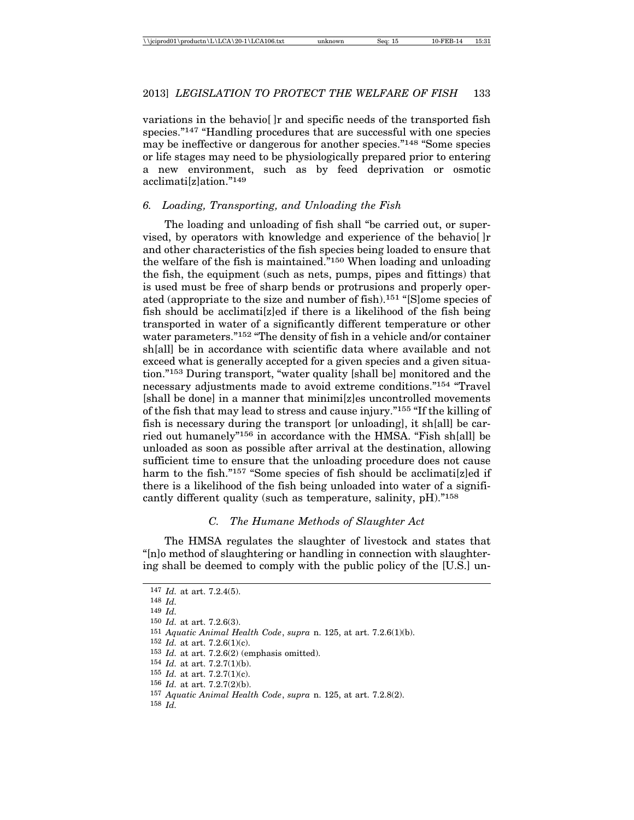variations in the behavio[ ]r and specific needs of the transported fish species."<sup>147</sup> "Handling procedures that are successful with one species may be ineffective or dangerous for another species."148 "Some species or life stages may need to be physiologically prepared prior to entering a new environment, such as by feed deprivation or osmotic acclimati[z]ation."149

# *6. Loading, Transporting, and Unloading the Fish*

The loading and unloading of fish shall "be carried out, or supervised, by operators with knowledge and experience of the behavio[ ]r and other characteristics of the fish species being loaded to ensure that the welfare of the fish is maintained."150 When loading and unloading the fish, the equipment (such as nets, pumps, pipes and fittings) that is used must be free of sharp bends or protrusions and properly operated (appropriate to the size and number of fish).151 "[S]ome species of fish should be acclimati[z]ed if there is a likelihood of the fish being transported in water of a significantly different temperature or other water parameters."<sup>152</sup> "The density of fish in a vehicle and/or container sh[all] be in accordance with scientific data where available and not exceed what is generally accepted for a given species and a given situation."153 During transport, "water quality [shall be] monitored and the necessary adjustments made to avoid extreme conditions."154 "Travel [shall be done] in a manner that minimi[z]es uncontrolled movements of the fish that may lead to stress and cause injury."155 "If the killing of fish is necessary during the transport [or unloading], it sh[all] be carried out humanely"156 in accordance with the HMSA. "Fish sh[all] be unloaded as soon as possible after arrival at the destination, allowing sufficient time to ensure that the unloading procedure does not cause harm to the fish."157 "Some species of fish should be acclimati[z]ed if there is a likelihood of the fish being unloaded into water of a significantly different quality (such as temperature, salinity, pH)."158

### *C. The Humane Methods of Slaughter Act*

The HMSA regulates the slaughter of livestock and states that "[n]o method of slaughtering or handling in connection with slaughtering shall be deemed to comply with the public policy of the [U.S.] un-

 *Id.* at art. 7.2.4(5). 148 *Id.* 149 *Id. Id.* at art. 7.2.6(3). *Aquatic Animal Health Code*, *supra* n. 125, at art. 7.2.6(1)(b). *Id.* at art. 7.2.6(1)(c). *Id.* at art. 7.2.6(2) (emphasis omitted). *Id.* at art. 7.2.7(1)(b). *Id.* at art. 7.2.7(1)(c). *Id.* at art. 7.2.7(2)(b). *Aquatic Animal Health Code*, *supra* n. 125, at art. 7.2.8(2). 158 *Id.*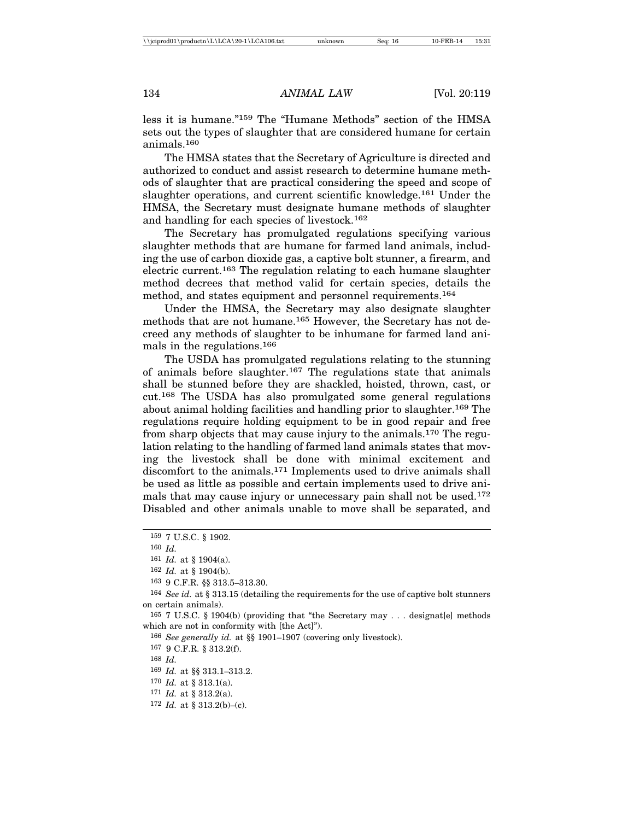less it is humane."159 The "Humane Methods" section of the HMSA sets out the types of slaughter that are considered humane for certain animals.<sup>160</sup>

The HMSA states that the Secretary of Agriculture is directed and authorized to conduct and assist research to determine humane methods of slaughter that are practical considering the speed and scope of slaughter operations, and current scientific knowledge.161 Under the HMSA, the Secretary must designate humane methods of slaughter and handling for each species of livestock.162

The Secretary has promulgated regulations specifying various slaughter methods that are humane for farmed land animals, including the use of carbon dioxide gas, a captive bolt stunner, a firearm, and electric current.163 The regulation relating to each humane slaughter method decrees that method valid for certain species, details the method, and states equipment and personnel requirements.164

Under the HMSA, the Secretary may also designate slaughter methods that are not humane.165 However, the Secretary has not decreed any methods of slaughter to be inhumane for farmed land animals in the regulations.166

The USDA has promulgated regulations relating to the stunning of animals before slaughter.167 The regulations state that animals shall be stunned before they are shackled, hoisted, thrown, cast, or cut.168 The USDA has also promulgated some general regulations about animal holding facilities and handling prior to slaughter.<sup>169</sup> The regulations require holding equipment to be in good repair and free from sharp objects that may cause injury to the animals.170 The regulation relating to the handling of farmed land animals states that moving the livestock shall be done with minimal excitement and discomfort to the animals.171 Implements used to drive animals shall be used as little as possible and certain implements used to drive animals that may cause injury or unnecessary pain shall not be used.<sup>172</sup> Disabled and other animals unable to move shall be separated, and

165 7 U.S.C. § 1904(b) (providing that "the Secretary may . . . designat[e] methods which are not in conformity with [the Act]").

166 *See generally id.* at §§ 1901–1907 (covering only livestock).

167 9 C.F.R. § 313.2(f).

170 *Id.* at § 313.1(a).

 $172$  *Id.* at § 313.2(b)–(c).

<sup>159</sup> 7 U.S.C. § 1902.

<sup>160</sup> *Id.*

<sup>161</sup> *Id.* at § 1904(a).

<sup>162</sup> *Id.* at § 1904(b).

<sup>163</sup> 9 C.F.R. §§ 313.5–313.30.

<sup>164</sup> *See id.* at § 313.15 (detailing the requirements for the use of captive bolt stunners on certain animals).

<sup>168</sup> *Id.*

<sup>169</sup> *Id.* at §§ 313.1–313.2.

<sup>171</sup> *Id.* at § 313.2(a).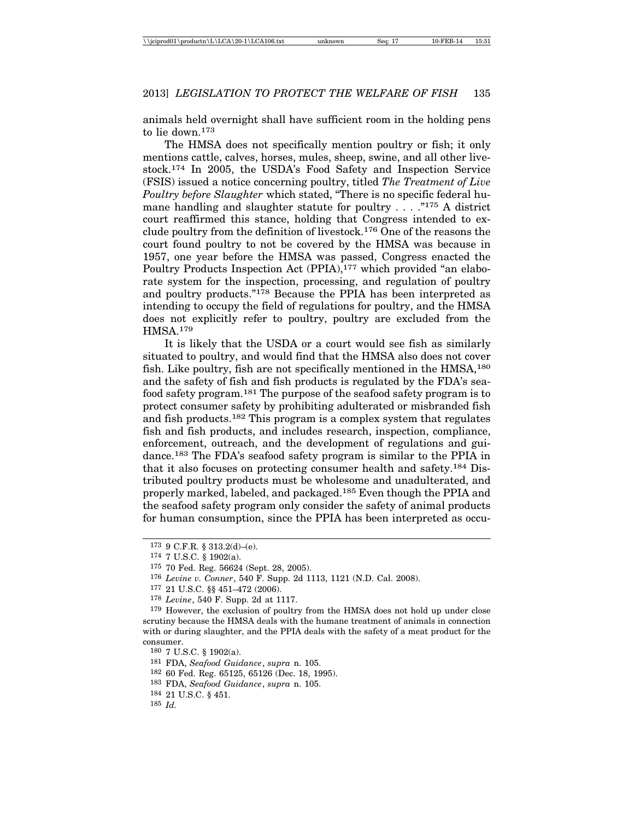animals held overnight shall have sufficient room in the holding pens to lie down.173

The HMSA does not specifically mention poultry or fish; it only mentions cattle, calves, horses, mules, sheep, swine, and all other livestock.174 In 2005, the USDA's Food Safety and Inspection Service (FSIS) issued a notice concerning poultry, titled *The Treatment of Live Poultry before Slaughter* which stated, "There is no specific federal humane handling and slaughter statute for poultry . . . . "<sup>175</sup> A district court reaffirmed this stance, holding that Congress intended to exclude poultry from the definition of livestock.176 One of the reasons the court found poultry to not be covered by the HMSA was because in 1957, one year before the HMSA was passed, Congress enacted the Poultry Products Inspection Act (PPIA),<sup>177</sup> which provided "an elaborate system for the inspection, processing, and regulation of poultry and poultry products."178 Because the PPIA has been interpreted as intending to occupy the field of regulations for poultry, and the HMSA does not explicitly refer to poultry, poultry are excluded from the HMSA.179

It is likely that the USDA or a court would see fish as similarly situated to poultry, and would find that the HMSA also does not cover fish. Like poultry, fish are not specifically mentioned in the HMSA,<sup>180</sup> and the safety of fish and fish products is regulated by the FDA's seafood safety program.181 The purpose of the seafood safety program is to protect consumer safety by prohibiting adulterated or misbranded fish and fish products.182 This program is a complex system that regulates fish and fish products, and includes research, inspection, compliance, enforcement, outreach, and the development of regulations and guidance.183 The FDA's seafood safety program is similar to the PPIA in that it also focuses on protecting consumer health and safety.184 Distributed poultry products must be wholesome and unadulterated, and properly marked, labeled, and packaged.185 Even though the PPIA and the seafood safety program only consider the safety of animal products for human consumption, since the PPIA has been interpreted as occu-

- 177 21 U.S.C. §§ 451–472 (2006).
- 178 *Levine*, 540 F. Supp. 2d at 1117.

179 However, the exclusion of poultry from the HMSA does not hold up under close scrutiny because the HMSA deals with the humane treatment of animals in connection with or during slaughter, and the PPIA deals with the safety of a meat product for the consumer.

- 182 60 Fed. Reg. 65125, 65126 (Dec. 18, 1995).
- 183 FDA, *Seafood Guidance*, *supra* n. 105.
- 184 21 U.S.C. § 451.
- 185 *Id.*

<sup>173</sup> 9 C.F.R. § 313.2(d)–(e).

<sup>174</sup> 7 U.S.C. § 1902(a).

<sup>175</sup> 70 Fed. Reg. 56624 (Sept. 28, 2005).

<sup>176</sup> *Levine v. Conner*, 540 F. Supp. 2d 1113, 1121 (N.D. Cal. 2008).

<sup>180</sup> 7 U.S.C. § 1902(a).

<sup>181</sup> FDA, *Seafood Guidance*, *supra* n. 105.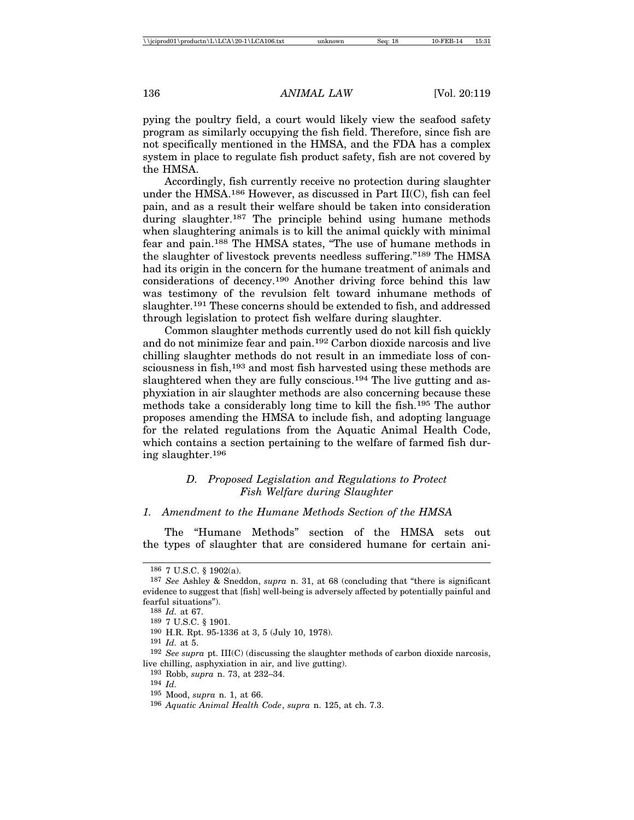pying the poultry field, a court would likely view the seafood safety program as similarly occupying the fish field. Therefore, since fish are not specifically mentioned in the HMSA, and the FDA has a complex system in place to regulate fish product safety, fish are not covered by the HMSA.

Accordingly, fish currently receive no protection during slaughter under the HMSA.186 However, as discussed in Part II(C), fish can feel pain, and as a result their welfare should be taken into consideration during slaughter.<sup>187</sup> The principle behind using humane methods when slaughtering animals is to kill the animal quickly with minimal fear and pain.188 The HMSA states, "The use of humane methods in the slaughter of livestock prevents needless suffering."189 The HMSA had its origin in the concern for the humane treatment of animals and considerations of decency.190 Another driving force behind this law was testimony of the revulsion felt toward inhumane methods of slaughter.191 These concerns should be extended to fish, and addressed through legislation to protect fish welfare during slaughter.

Common slaughter methods currently used do not kill fish quickly and do not minimize fear and pain.192 Carbon dioxide narcosis and live chilling slaughter methods do not result in an immediate loss of consciousness in fish,<sup>193</sup> and most fish harvested using these methods are slaughtered when they are fully conscious.<sup>194</sup> The live gutting and asphyxiation in air slaughter methods are also concerning because these methods take a considerably long time to kill the fish.195 The author proposes amending the HMSA to include fish, and adopting language for the related regulations from the Aquatic Animal Health Code, which contains a section pertaining to the welfare of farmed fish during slaughter.196

# *D. Proposed Legislation and Regulations to Protect Fish Welfare during Slaughter*

#### *1. Amendment to the Humane Methods Section of the HMSA*

The "Humane Methods" section of the HMSA sets out the types of slaughter that are considered humane for certain ani-

<sup>186</sup> 7 U.S.C. § 1902(a).

<sup>187</sup> *See* Ashley & Sneddon, *supra* n. 31, at 68 (concluding that "there is significant evidence to suggest that [fish] well-being is adversely affected by potentially painful and fearful situations").

<sup>188</sup> *Id.* at 67.

<sup>189</sup> 7 U.S.C. § 1901.

<sup>190</sup> H.R. Rpt. 95-1336 at 3, 5 (July 10, 1978).

<sup>191</sup> *Id.* at 5.

<sup>192</sup> *See supra* pt. III(C) (discussing the slaughter methods of carbon dioxide narcosis, live chilling, asphyxiation in air, and live gutting).

<sup>193</sup> Robb, *supra* n. 73, at 232–34.

<sup>194</sup> *Id.*

<sup>195</sup> Mood, *supra* n. 1, at 66.

<sup>196</sup> *Aquatic Animal Health Code*, *supra* n. 125, at ch. 7.3.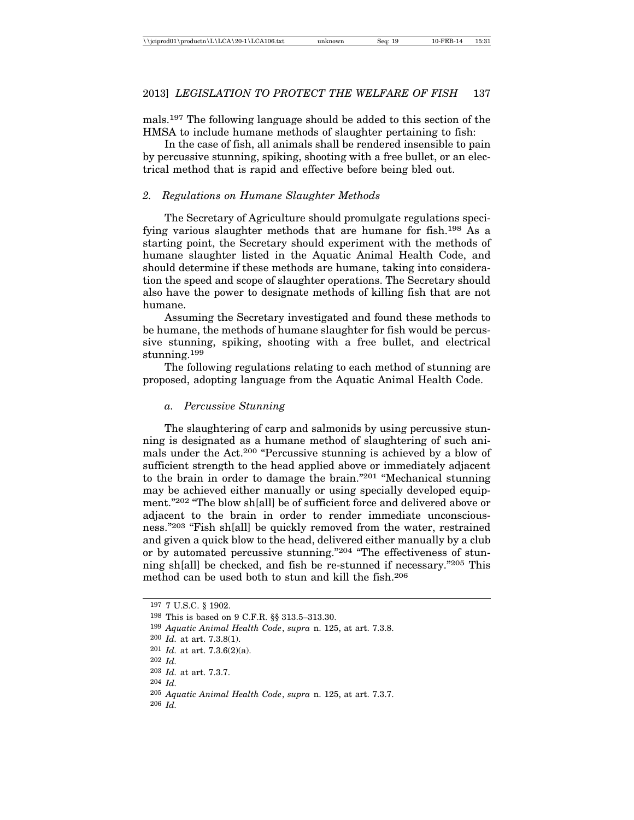mals.197 The following language should be added to this section of the HMSA to include humane methods of slaughter pertaining to fish:

In the case of fish, all animals shall be rendered insensible to pain by percussive stunning, spiking, shooting with a free bullet, or an electrical method that is rapid and effective before being bled out.

# *2. Regulations on Humane Slaughter Methods*

The Secretary of Agriculture should promulgate regulations specifying various slaughter methods that are humane for fish.198 As a starting point, the Secretary should experiment with the methods of humane slaughter listed in the Aquatic Animal Health Code, and should determine if these methods are humane, taking into consideration the speed and scope of slaughter operations. The Secretary should also have the power to designate methods of killing fish that are not humane.

Assuming the Secretary investigated and found these methods to be humane, the methods of humane slaughter for fish would be percussive stunning, spiking, shooting with a free bullet, and electrical stunning.199

The following regulations relating to each method of stunning are proposed, adopting language from the Aquatic Animal Health Code.

#### *a. Percussive Stunning*

The slaughtering of carp and salmonids by using percussive stunning is designated as a humane method of slaughtering of such animals under the Act.200 "Percussive stunning is achieved by a blow of sufficient strength to the head applied above or immediately adjacent to the brain in order to damage the brain."201 "Mechanical stunning may be achieved either manually or using specially developed equipment."202 "The blow sh[all] be of sufficient force and delivered above or adjacent to the brain in order to render immediate unconsciousness."203 "Fish sh[all] be quickly removed from the water, restrained and given a quick blow to the head, delivered either manually by a club or by automated percussive stunning."204 "The effectiveness of stunning sh[all] be checked, and fish be re-stunned if necessary."205 This method can be used both to stun and kill the fish.206

<sup>197</sup> 7 U.S.C. § 1902.

<sup>198</sup> This is based on 9 C.F.R. §§ 313.5–313.30.

<sup>199</sup> *Aquatic Animal Health Code*, *supra* n. 125, at art. 7.3.8.

<sup>200</sup> *Id.* at art. 7.3.8(1).

<sup>201</sup> *Id.* at art. 7.3.6(2)(a).

<sup>202</sup> *Id.*

<sup>203</sup> *Id.* at art. 7.3.7.

<sup>204</sup> *Id.*

<sup>205</sup> *Aquatic Animal Health Code*, *supra* n. 125, at art. 7.3.7.

<sup>206</sup> *Id.*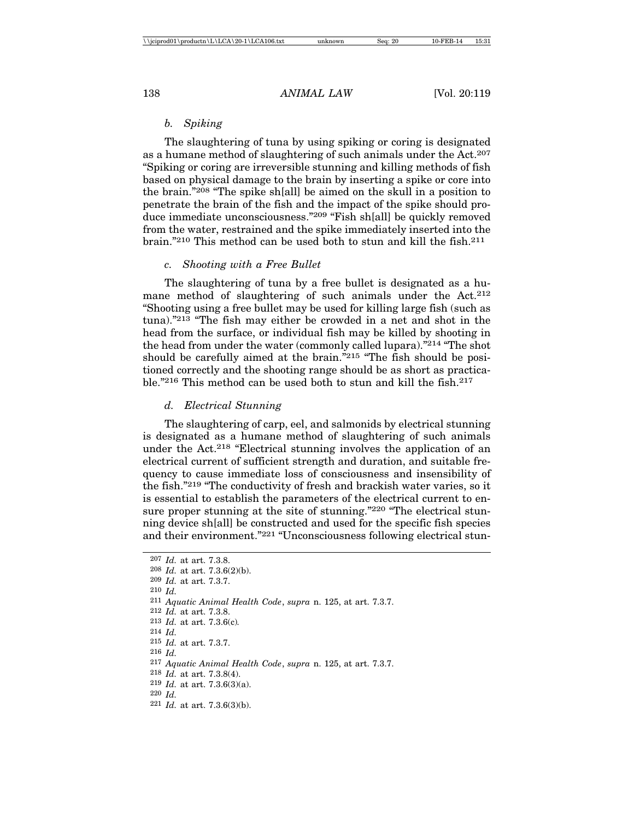# *b. Spiking*

The slaughtering of tuna by using spiking or coring is designated as a humane method of slaughtering of such animals under the Act.207 "Spiking or coring are irreversible stunning and killing methods of fish based on physical damage to the brain by inserting a spike or core into the brain."208 "The spike sh[all] be aimed on the skull in a position to penetrate the brain of the fish and the impact of the spike should produce immediate unconsciousness."209 "Fish sh[all] be quickly removed from the water, restrained and the spike immediately inserted into the brain."210 This method can be used both to stun and kill the fish.211

# *c. Shooting with a Free Bullet*

The slaughtering of tuna by a free bullet is designated as a humane method of slaughtering of such animals under the Act.<sup>212</sup> "Shooting using a free bullet may be used for killing large fish (such as tuna)."213 "The fish may either be crowded in a net and shot in the head from the surface, or individual fish may be killed by shooting in the head from under the water (commonly called lupara)."214 "The shot should be carefully aimed at the brain."215 "The fish should be positioned correctly and the shooting range should be as short as practicable."<sup>216</sup> This method can be used both to stun and kill the fish.<sup>217</sup>

# *d. Electrical Stunning*

The slaughtering of carp, eel, and salmonids by electrical stunning is designated as a humane method of slaughtering of such animals under the Act.218 "Electrical stunning involves the application of an electrical current of sufficient strength and duration, and suitable frequency to cause immediate loss of consciousness and insensibility of the fish."219 "The conductivity of fresh and brackish water varies, so it is essential to establish the parameters of the electrical current to ensure proper stunning at the site of stunning."220 "The electrical stunning device sh[all] be constructed and used for the specific fish species and their environment."221 "Unconsciousness following electrical stun-

```
207 Id. at art. 7.3.8.
208 Id. at art. 7.3.6(2)(b).
209 Id. at art. 7.3.7.
210 Id.
211 Aquatic Animal Health Code, supra n. 125, at art. 7.3.7.
212 Id. at art. 7.3.8.
213 Id. at art. 7.3.6(c). 214 Id.
215 Id. at art. 7.3.7.
216 Id.
217 Aquatic Animal Health Code, supra n. 125, at art. 7.3.7.
218 Id. at art. 7.3.8(4).
219 Id. at art. 7.3.6(3)(a).
220 Id.
221 Id. at art. 7.3.6(3)(b).
```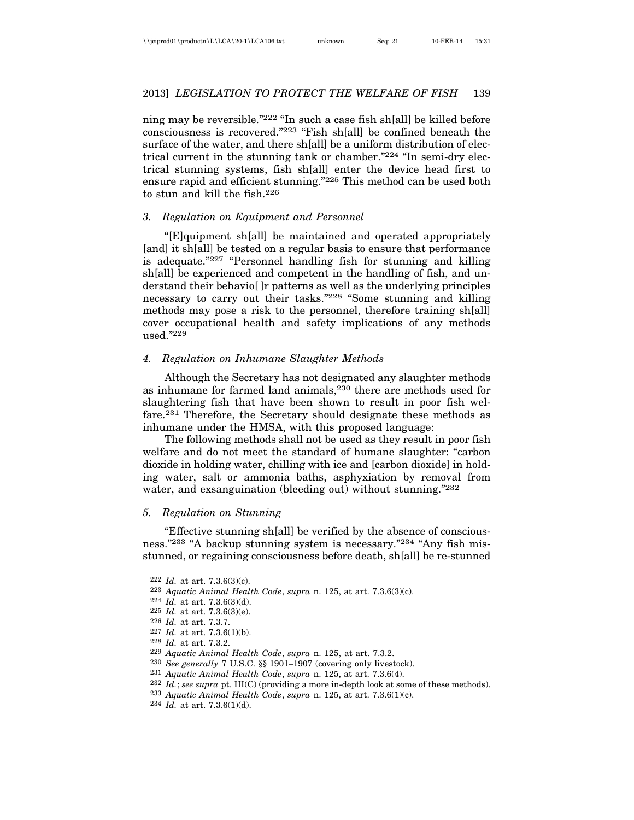ning may be reversible."222 "In such a case fish sh[all] be killed before consciousness is recovered."223 "Fish sh[all] be confined beneath the surface of the water, and there sh[all] be a uniform distribution of electrical current in the stunning tank or chamber."224 "In semi-dry electrical stunning systems, fish sh[all] enter the device head first to ensure rapid and efficient stunning."225 This method can be used both to stun and kill the fish.226

# *3. Regulation on Equipment and Personnel*

"[E]quipment sh[all] be maintained and operated appropriately [and] it sh[all] be tested on a regular basis to ensure that performance is adequate."227 "Personnel handling fish for stunning and killing sh[all] be experienced and competent in the handling of fish, and understand their behavio[ ]r patterns as well as the underlying principles necessary to carry out their tasks."228 "Some stunning and killing methods may pose a risk to the personnel, therefore training sh[all] cover occupational health and safety implications of any methods used."229

# *4. Regulation on Inhumane Slaughter Methods*

Although the Secretary has not designated any slaughter methods as inhumane for farmed land animals,230 there are methods used for slaughtering fish that have been shown to result in poor fish welfare.231 Therefore, the Secretary should designate these methods as inhumane under the HMSA, with this proposed language:

The following methods shall not be used as they result in poor fish welfare and do not meet the standard of humane slaughter: "carbon dioxide in holding water, chilling with ice and [carbon dioxide] in holding water, salt or ammonia baths, asphyxiation by removal from water, and exsanguination (bleeding out) without stunning."<sup>232</sup>

#### *5. Regulation on Stunning*

"Effective stunning sh[all] be verified by the absence of consciousness."233 "A backup stunning system is necessary."234 "Any fish misstunned, or regaining consciousness before death, sh[all] be re-stunned

<sup>222</sup> *Id.* at art. 7.3.6(3)(c).

<sup>223</sup> *Aquatic Animal Health Code*, *supra* n. 125, at art. 7.3.6(3)(c).

<sup>224</sup> *Id.* at art. 7.3.6(3)(d).

<sup>225</sup> *Id.* at art. 7.3.6(3)(e).

<sup>226</sup> *Id.* at art. 7.3.7.

<sup>227</sup> *Id.* at art. 7.3.6(1)(b).

<sup>228</sup> *Id.* at art. 7.3.2.

<sup>229</sup> *Aquatic Animal Health Code*, *supra* n. 125, at art. 7.3.2.

<sup>230</sup> *See generally* 7 U.S.C. §§ 1901–1907 (covering only livestock).

<sup>231</sup> *Aquatic Animal Health Code*, *supra* n. 125, at art. 7.3.6(4).

<sup>232</sup> *Id.*; *see supra* pt. III(C) (providing a more in-depth look at some of these methods).

<sup>233</sup> *Aquatic Animal Health Code*, *supra* n. 125, at art. 7.3.6(1)(c).

<sup>234</sup> *Id.* at art. 7.3.6(1)(d).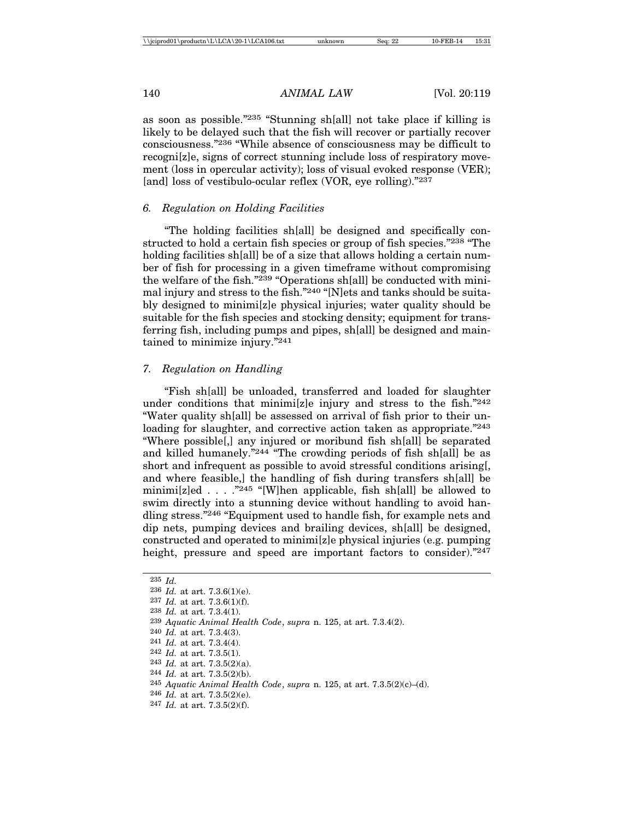as soon as possible."235 "Stunning sh[all] not take place if killing is likely to be delayed such that the fish will recover or partially recover consciousness."236 "While absence of consciousness may be difficult to recogni[z]e, signs of correct stunning include loss of respiratory movement (loss in opercular activity); loss of visual evoked response (VER); [and] loss of vestibulo-ocular reflex (VOR, eye rolling)."237

# *6. Regulation on Holding Facilities*

"The holding facilities sh[all] be designed and specifically constructed to hold a certain fish species or group of fish species."238 "The holding facilities sh[all] be of a size that allows holding a certain number of fish for processing in a given timeframe without compromising the welfare of the fish."239 "Operations sh[all] be conducted with minimal injury and stress to the fish."240 "[N]ets and tanks should be suitably designed to minimi[z]e physical injuries; water quality should be suitable for the fish species and stocking density; equipment for transferring fish, including pumps and pipes, sh[all] be designed and maintained to minimize injury."241

# *7. Regulation on Handling*

"Fish sh[all] be unloaded, transferred and loaded for slaughter under conditions that minimi[z]e injury and stress to the fish."242 "Water quality sh[all] be assessed on arrival of fish prior to their unloading for slaughter, and corrective action taken as appropriate."<sup>243</sup> "Where possible[,] any injured or moribund fish sh[all] be separated and killed humanely."244 "The crowding periods of fish sh[all] be as short and infrequent as possible to avoid stressful conditions arising[, and where feasible,] the handling of fish during transfers sh[all] be minimi[z]ed . . . .  $\frac{245}{10}$  "[W]hen applicable, fish sh[all] be allowed to swim directly into a stunning device without handling to avoid handling stress."246 "Equipment used to handle fish, for example nets and dip nets, pumping devices and brailing devices, sh[all] be designed, constructed and operated to minimi[z]e physical injuries (e.g. pumping height, pressure and speed are important factors to consider)."247

236 *Id.* at art. 7.3.6(1)(e).

<sup>235</sup> *Id.*

<sup>237</sup> *Id.* at art. 7.3.6(1)(f).

<sup>238</sup> *Id.* at art. 7.3.4(1).

<sup>239</sup> *Aquatic Animal Health Code*, *supra* n. 125, at art. 7.3.4(2).

<sup>240</sup> *Id.* at art. 7.3.4(3).

<sup>241</sup> *Id.* at art. 7.3.4(4).

<sup>242</sup> *Id.* at art. 7.3.5(1).

<sup>243</sup> *Id.* at art. 7.3.5(2)(a).

<sup>244</sup> *Id.* at art. 7.3.5(2)(b).

<sup>245</sup> *Aquatic Animal Health Code*, *supra* n. 125, at art. 7.3.5(2)(c)–(d).

<sup>246</sup> *Id.* at art. 7.3.5(2)(e).

<sup>247</sup> *Id.* at art. 7.3.5(2)(f).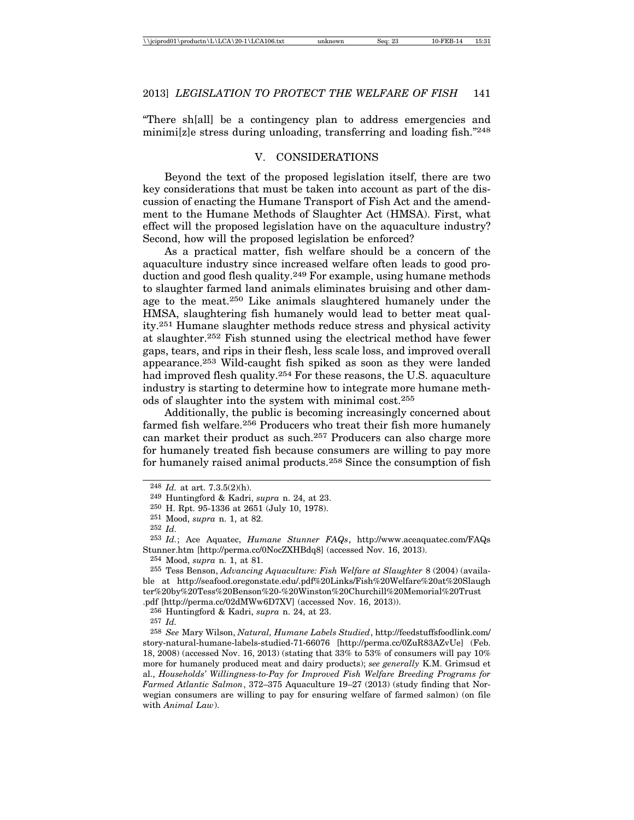"There sh[all] be a contingency plan to address emergencies and minimi[z]e stress during unloading, transferring and loading fish."248

### V. CONSIDERATIONS

Beyond the text of the proposed legislation itself, there are two key considerations that must be taken into account as part of the discussion of enacting the Humane Transport of Fish Act and the amendment to the Humane Methods of Slaughter Act (HMSA). First, what effect will the proposed legislation have on the aquaculture industry? Second, how will the proposed legislation be enforced?

As a practical matter, fish welfare should be a concern of the aquaculture industry since increased welfare often leads to good production and good flesh quality.249 For example, using humane methods to slaughter farmed land animals eliminates bruising and other damage to the meat.250 Like animals slaughtered humanely under the HMSA, slaughtering fish humanely would lead to better meat quality.251 Humane slaughter methods reduce stress and physical activity at slaughter.252 Fish stunned using the electrical method have fewer gaps, tears, and rips in their flesh, less scale loss, and improved overall appearance.253 Wild-caught fish spiked as soon as they were landed had improved flesh quality.254 For these reasons, the U.S. aquaculture industry is starting to determine how to integrate more humane methods of slaughter into the system with minimal cost.255

Additionally, the public is becoming increasingly concerned about farmed fish welfare.256 Producers who treat their fish more humanely can market their product as such.257 Producers can also charge more for humanely treated fish because consumers are willing to pay more for humanely raised animal products.258 Since the consumption of fish

253 *Id.*; Ace Aquatec, *Humane Stunner FAQs*, http://www.aceaquatec.com/FAQs Stunner.htm [http://perma.cc/0NocZXHBdq8] (accessed Nov. 16, 2013).

254 Mood, *supra* n. 1, at 81.

255 Tess Benson, *Advancing Aquaculture: Fish Welfare at Slaughter* 8 (2004) (available at http://seafood.oregonstate.edu/.pdf%20Links/Fish%20Welfare%20at%20Slaugh ter%20by%20Tess%20Benson%20-%20Winston%20Churchill%20Memorial%20Trust

.pdf [http://perma.cc/02dMWw6D7XV] (accessed Nov. 16, 2013)).

256 Huntingford & Kadri, *supra* n. 24, at 23.

257 *Id.*

258 *See* Mary Wilson, *Natural, Humane Labels Studied*, http://feedstuffsfoodlink.com/ story-natural-humane-labels-studied-71-66076 [http://perma.cc/0ZuR83AZvUe] (Feb. 18, 2008) (accessed Nov. 16, 2013) (stating that 33% to 53% of consumers will pay 10% more for humanely produced meat and dairy products); *see generally* K.M. Grimsud et al., *Households' Willingness-to-Pay for Improved Fish Welfare Breeding Programs for Farmed Atlantic Salmon*, 372–375 Aquaculture 19–27 (2013) (study finding that Norwegian consumers are willing to pay for ensuring welfare of farmed salmon) (on file with *Animal Law*).

<sup>248</sup> *Id.* at art. 7.3.5(2)(h).

<sup>249</sup> Huntingford & Kadri, *supra* n. 24, at 23.

<sup>250</sup> H. Rpt. 95-1336 at 2651 (July 10, 1978).

<sup>251</sup> Mood, *supra* n. 1, at 82.

<sup>252</sup> *Id.*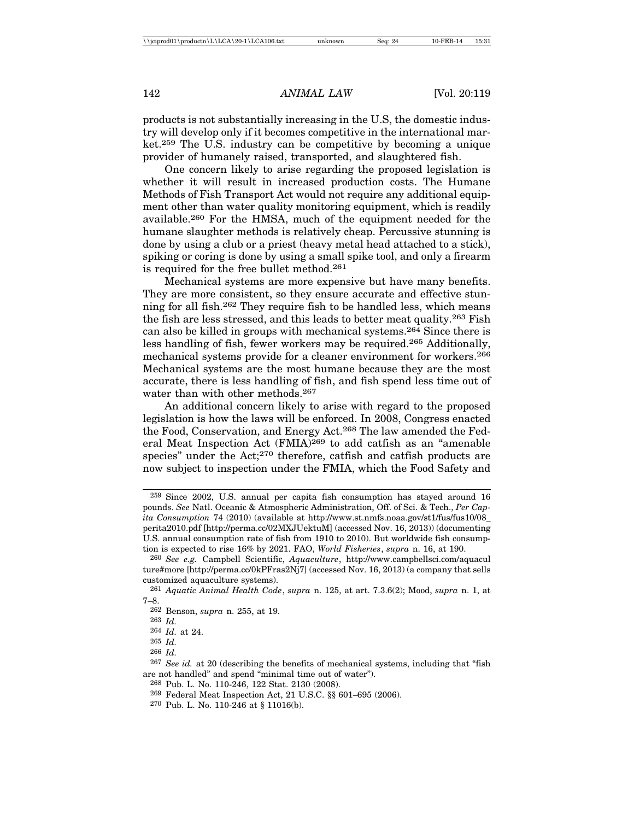products is not substantially increasing in the U.S, the domestic industry will develop only if it becomes competitive in the international market.259 The U.S. industry can be competitive by becoming a unique provider of humanely raised, transported, and slaughtered fish.

One concern likely to arise regarding the proposed legislation is whether it will result in increased production costs. The Humane Methods of Fish Transport Act would not require any additional equipment other than water quality monitoring equipment, which is readily available.260 For the HMSA, much of the equipment needed for the humane slaughter methods is relatively cheap. Percussive stunning is done by using a club or a priest (heavy metal head attached to a stick), spiking or coring is done by using a small spike tool, and only a firearm is required for the free bullet method.261

Mechanical systems are more expensive but have many benefits. They are more consistent, so they ensure accurate and effective stunning for all fish.262 They require fish to be handled less, which means the fish are less stressed, and this leads to better meat quality.263 Fish can also be killed in groups with mechanical systems.264 Since there is less handling of fish, fewer workers may be required.265 Additionally, mechanical systems provide for a cleaner environment for workers.266 Mechanical systems are the most humane because they are the most accurate, there is less handling of fish, and fish spend less time out of water than with other methods.267

An additional concern likely to arise with regard to the proposed legislation is how the laws will be enforced. In 2008, Congress enacted the Food, Conservation, and Energy Act.268 The law amended the Federal Meat Inspection Act (FMIA)269 to add catfish as an "amenable species" under the Act;<sup>270</sup> therefore, catfish and catfish products are now subject to inspection under the FMIA, which the Food Safety and

<sup>259</sup> Since 2002, U.S. annual per capita fish consumption has stayed around 16 pounds. *See* Natl. Oceanic & Atmospheric Administration, Off. of Sci. & Tech., *Per Capita Consumption* 74 (2010) (available at http://www.st.nmfs.noaa.gov/st1/fus/fus10/08\_ perita2010.pdf [http://perma.cc/02MXJUektuM] (accessed Nov. 16, 2013)) (documenting U.S. annual consumption rate of fish from 1910 to 2010). But worldwide fish consumption is expected to rise 16% by 2021. FAO, *World Fisheries*, *supra* n. 16, at 190.

<sup>260</sup> *See e.g.* Campbell Scientific, *Aquaculture*, http://www.campbellsci.com/aquacul ture#more [http://perma.cc/0kPFras2Nj7] (accessed Nov. 16, 2013) (a company that sells customized aquaculture systems).

<sup>261</sup> *Aquatic Animal Health Code*, *supra* n. 125, at art. 7.3.6(2); Mood, *supra* n. 1, at 7–8.

<sup>262</sup> Benson, *supra* n. 255, at 19.

<sup>263</sup> *Id.*

<sup>264</sup> *Id.* at 24.

<sup>265</sup> *Id.*

<sup>266</sup> *Id.*

<sup>267</sup> *See id.* at 20 (describing the benefits of mechanical systems, including that "fish are not handled" and spend "minimal time out of water").

<sup>268</sup> Pub. L. No. 110-246, 122 Stat. 2130 (2008).

<sup>269</sup> Federal Meat Inspection Act, 21 U.S.C. §§ 601–695 (2006).

<sup>270</sup> Pub. L. No. 110-246 at § 11016(b).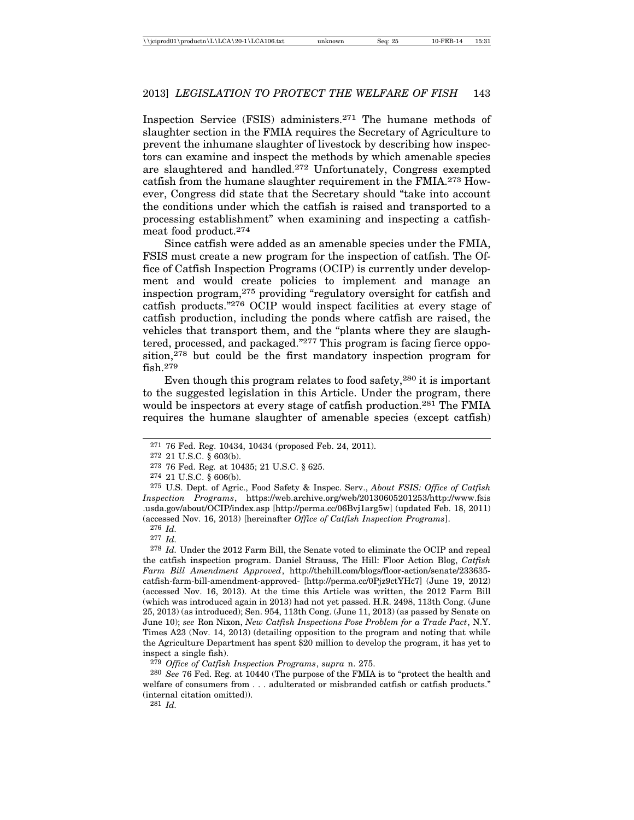Inspection Service (FSIS) administers.271 The humane methods of slaughter section in the FMIA requires the Secretary of Agriculture to prevent the inhumane slaughter of livestock by describing how inspectors can examine and inspect the methods by which amenable species are slaughtered and handled.272 Unfortunately, Congress exempted catfish from the humane slaughter requirement in the FMIA.273 However, Congress did state that the Secretary should "take into account the conditions under which the catfish is raised and transported to a processing establishment" when examining and inspecting a catfishmeat food product.274

Since catfish were added as an amenable species under the FMIA, FSIS must create a new program for the inspection of catfish. The Office of Catfish Inspection Programs (OCIP) is currently under development and would create policies to implement and manage an inspection program,275 providing "regulatory oversight for catfish and catfish products."276 OCIP would inspect facilities at every stage of catfish production, including the ponds where catfish are raised, the vehicles that transport them, and the "plants where they are slaughtered, processed, and packaged."277 This program is facing fierce opposition,<sup>278</sup> but could be the first mandatory inspection program for fish.279

Even though this program relates to food safety,280 it is important to the suggested legislation in this Article. Under the program, there would be inspectors at every stage of catfish production.<sup>281</sup> The FMIA requires the humane slaughter of amenable species (except catfish)

275 U.S. Dept. of Agric., Food Safety & Inspec. Serv., *About FSIS: Office of Catfish Inspection Programs*, https://web.archive.org/web/20130605201253/http://www.fsis .usda.gov/about/OCIP/index.asp [http://perma.cc/06Bvj1arg5w] (updated Feb. 18, 2011) (accessed Nov. 16, 2013) [hereinafter *Office of Catfish Inspection Programs*].

277 *Id.*

278 *Id.* Under the 2012 Farm Bill, the Senate voted to eliminate the OCIP and repeal the catfish inspection program. Daniel Strauss, The Hill: Floor Action Blog, *Catfish Farm Bill Amendment Approved*, http://thehill.com/blogs/floor-action/senate/233635 catfish-farm-bill-amendment-approved- [http://perma.cc/0Pjz9ctYHc7] (June 19, 2012) (accessed Nov. 16, 2013). At the time this Article was written, the 2012 Farm Bill (which was introduced again in 2013) had not yet passed. H.R. 2498, 113th Cong. (June 25, 2013) (as introduced); Sen. 954, 113th Cong. (June 11, 2013) (as passed by Senate on June 10); *see* Ron Nixon, *New Catfish Inspections Pose Problem for a Trade Pact*, N.Y. Times A23 (Nov. 14, 2013) (detailing opposition to the program and noting that while the Agriculture Department has spent \$20 million to develop the program, it has yet to inspect a single fish).

279 *Office of Catfish Inspection Programs*, *supra* n. 275.

280 *See* 76 Fed. Reg. at 10440 (The purpose of the FMIA is to "protect the health and welfare of consumers from . . . adulterated or misbranded catfish or catfish products." (internal citation omitted)).

281 *Id.*

<sup>271</sup> 76 Fed. Reg. 10434, 10434 (proposed Feb. 24, 2011).

<sup>272</sup> 21 U.S.C. § 603(b).

<sup>273</sup> 76 Fed. Reg*.* at 10435; 21 U.S.C. § 625.

<sup>274</sup> 21 U.S.C. § 606(b).

<sup>276</sup> *Id.*